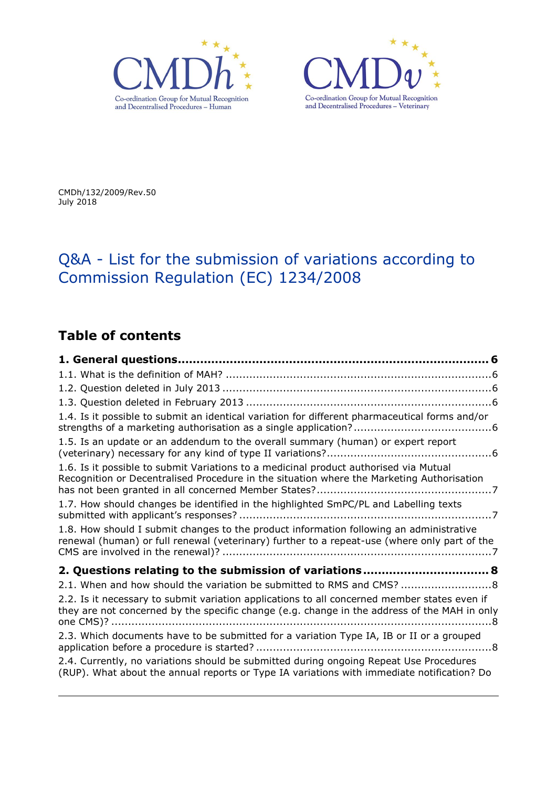



CMDh/132/2009/Rev.50 July 2018

# Q&A - List for the submission of variations according to Commission Regulation (EC) 1234/2008

# **Table of contents**

| 1.4. Is it possible to submit an identical variation for different pharmaceutical forms and/or                                                                                                                                                                         |
|------------------------------------------------------------------------------------------------------------------------------------------------------------------------------------------------------------------------------------------------------------------------|
| 1.5. Is an update or an addendum to the overall summary (human) or expert report                                                                                                                                                                                       |
| 1.6. Is it possible to submit Variations to a medicinal product authorised via Mutual<br>Recognition or Decentralised Procedure in the situation where the Marketing Authorisation                                                                                     |
| 1.7. How should changes be identified in the highlighted SmPC/PL and Labelling texts                                                                                                                                                                                   |
| 1.8. How should I submit changes to the product information following an administrative<br>renewal (human) or full renewal (veterinary) further to a repeat-use (where only part of the                                                                                |
| 2. Questions relating to the submission of variations 8                                                                                                                                                                                                                |
| 2.1. When and how should the variation be submitted to RMS and CMS?  8<br>2.2. Is it necessary to submit variation applications to all concerned member states even if<br>they are not concerned by the specific change (e.g. change in the address of the MAH in only |
| 2.3. Which documents have to be submitted for a variation Type IA, IB or II or a grouped                                                                                                                                                                               |
| 2.4. Currently, no variations should be submitted during ongoing Repeat Use Procedures<br>(RUP). What about the annual reports or Type IA variations with immediate notification? Do                                                                                   |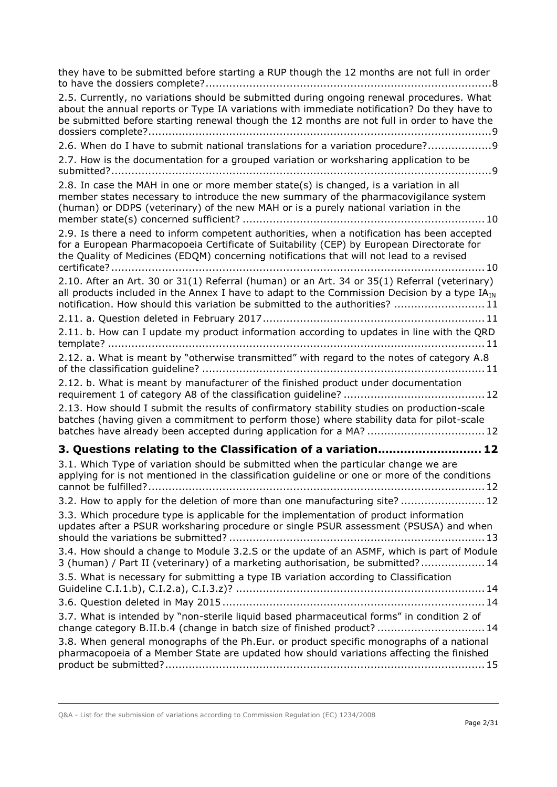| they have to be submitted before starting a RUP though the 12 months are not full in order<br>2.5. Currently, no variations should be submitted during ongoing renewal procedures. What<br>about the annual reports or Type IA variations with immediate notification? Do they have to<br>be submitted before starting renewal though the 12 months are not full in order to have the |
|---------------------------------------------------------------------------------------------------------------------------------------------------------------------------------------------------------------------------------------------------------------------------------------------------------------------------------------------------------------------------------------|
| 2.6. When do I have to submit national translations for a variation procedure?9<br>2.7. How is the documentation for a grouped variation or worksharing application to be                                                                                                                                                                                                             |
| 2.8. In case the MAH in one or more member state(s) is changed, is a variation in all<br>member states necessary to introduce the new summary of the pharmacovigilance system<br>(human) or DDPS (veterinary) of the new MAH or is a purely national variation in the                                                                                                                 |
| 2.9. Is there a need to inform competent authorities, when a notification has been accepted<br>for a European Pharmacopoeia Certificate of Suitability (CEP) by European Directorate for<br>the Quality of Medicines (EDQM) concerning notifications that will not lead to a revised                                                                                                  |
| 2.10. After an Art. 30 or 31(1) Referral (human) or an Art. 34 or 35(1) Referral (veterinary)<br>all products included in the Annex I have to adapt to the Commission Decision by a type IA <sub>IN</sub><br>notification. How should this variation be submitted to the authorities?  11                                                                                             |
| 2.11. b. How can I update my product information according to updates in line with the QRD                                                                                                                                                                                                                                                                                            |
| 2.12. a. What is meant by "otherwise transmitted" with regard to the notes of category A.8                                                                                                                                                                                                                                                                                            |
| 2.12. b. What is meant by manufacturer of the finished product under documentation                                                                                                                                                                                                                                                                                                    |
| 2.13. How should I submit the results of confirmatory stability studies on production-scale<br>batches (having given a commitment to perform those) where stability data for pilot-scale<br>batches have already been accepted during application for a MA?  12                                                                                                                       |
| 3. Questions relating to the Classification of a variation 12                                                                                                                                                                                                                                                                                                                         |
| 3.1. Which Type of variation should be submitted when the particular change we are<br>applying for is not mentioned in the classification guideline or one or more of the conditions                                                                                                                                                                                                  |
| 3.2. How to apply for the deletion of more than one manufacturing site?  12<br>3.3. Which procedure type is applicable for the implementation of product information<br>updates after a PSUR worksharing procedure or single PSUR assessment (PSUSA) and when                                                                                                                         |
| 3.4. How should a change to Module 3.2.S or the update of an ASMF, which is part of Module<br>3 (human) / Part II (veterinary) of a marketing authorisation, be submitted? 14                                                                                                                                                                                                         |
| 3.5. What is necessary for submitting a type IB variation according to Classification                                                                                                                                                                                                                                                                                                 |
|                                                                                                                                                                                                                                                                                                                                                                                       |
| 3.7. What is intended by "non-sterile liquid based pharmaceutical forms" in condition 2 of<br>change category B.II.b.4 (change in batch size of finished product?  14                                                                                                                                                                                                                 |
| 3.8. When general monographs of the Ph.Eur. or product specific monographs of a national<br>pharmacopoeia of a Member State are updated how should variations affecting the finished                                                                                                                                                                                                  |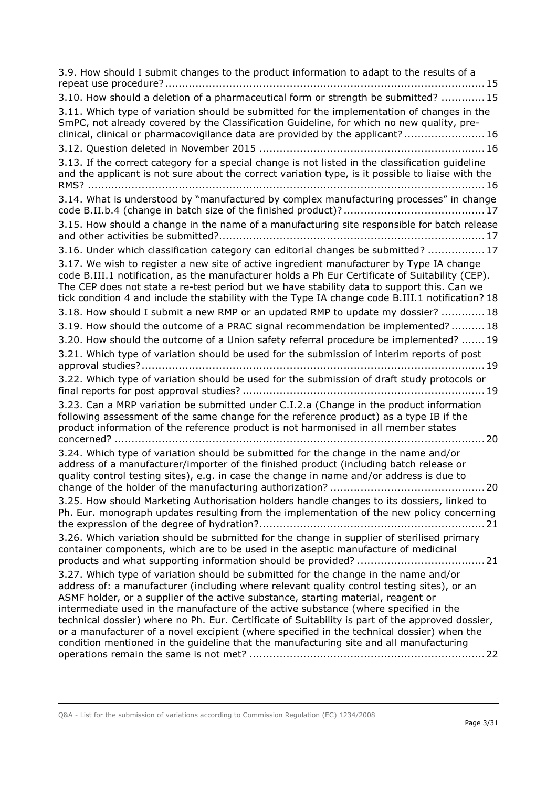| 3.9. How should I submit changes to the product information to adapt to the results of a                                                                                                                                                                                                                                                                                                                                                                                                                                                                                                                                                                   |
|------------------------------------------------------------------------------------------------------------------------------------------------------------------------------------------------------------------------------------------------------------------------------------------------------------------------------------------------------------------------------------------------------------------------------------------------------------------------------------------------------------------------------------------------------------------------------------------------------------------------------------------------------------|
| 3.10. How should a deletion of a pharmaceutical form or strength be submitted?  15                                                                                                                                                                                                                                                                                                                                                                                                                                                                                                                                                                         |
| 3.11. Which type of variation should be submitted for the implementation of changes in the<br>SmPC, not already covered by the Classification Guideline, for which no new quality, pre-<br>clinical, clinical or pharmacovigilance data are provided by the applicant?16                                                                                                                                                                                                                                                                                                                                                                                   |
|                                                                                                                                                                                                                                                                                                                                                                                                                                                                                                                                                                                                                                                            |
| 3.13. If the correct category for a special change is not listed in the classification guideline<br>and the applicant is not sure about the correct variation type, is it possible to liaise with the                                                                                                                                                                                                                                                                                                                                                                                                                                                      |
| 3.14. What is understood by "manufactured by complex manufacturing processes" in change                                                                                                                                                                                                                                                                                                                                                                                                                                                                                                                                                                    |
| 3.15. How should a change in the name of a manufacturing site responsible for batch release                                                                                                                                                                                                                                                                                                                                                                                                                                                                                                                                                                |
| 3.16. Under which classification category can editorial changes be submitted?  17                                                                                                                                                                                                                                                                                                                                                                                                                                                                                                                                                                          |
| 3.17. We wish to register a new site of active ingredient manufacturer by Type IA change<br>code B.III.1 notification, as the manufacturer holds a Ph Eur Certificate of Suitability (CEP).<br>The CEP does not state a re-test period but we have stability data to support this. Can we<br>tick condition 4 and include the stability with the Type IA change code B.III.1 notification? 18                                                                                                                                                                                                                                                              |
| 3.18. How should I submit a new RMP or an updated RMP to update my dossier? 18                                                                                                                                                                                                                                                                                                                                                                                                                                                                                                                                                                             |
| 3.19. How should the outcome of a PRAC signal recommendation be implemented?18                                                                                                                                                                                                                                                                                                                                                                                                                                                                                                                                                                             |
| 3.20. How should the outcome of a Union safety referral procedure be implemented?  19                                                                                                                                                                                                                                                                                                                                                                                                                                                                                                                                                                      |
| 3.21. Which type of variation should be used for the submission of interim reports of post                                                                                                                                                                                                                                                                                                                                                                                                                                                                                                                                                                 |
| 3.22. Which type of variation should be used for the submission of draft study protocols or                                                                                                                                                                                                                                                                                                                                                                                                                                                                                                                                                                |
| 3.23. Can a MRP variation be submitted under C.I.2.a (Change in the product information<br>following assessment of the same change for the reference product) as a type IB if the<br>product information of the reference product is not harmonised in all member states<br>20<br>concerned?                                                                                                                                                                                                                                                                                                                                                               |
| 3.24. Which type of variation should be submitted for the change in the name and/or<br>address of a manufacturer/importer of the finished product (including batch release or<br>quality control testing sites), e.g. in case the change in name and/or address is due to                                                                                                                                                                                                                                                                                                                                                                                  |
| 3.25. How should Marketing Authorisation holders handle changes to its dossiers, linked to<br>Ph. Eur. monograph updates resulting from the implementation of the new policy concerning                                                                                                                                                                                                                                                                                                                                                                                                                                                                    |
| 3.26. Which variation should be submitted for the change in supplier of sterilised primary<br>container components, which are to be used in the aseptic manufacture of medicinal                                                                                                                                                                                                                                                                                                                                                                                                                                                                           |
| 3.27. Which type of variation should be submitted for the change in the name and/or<br>address of: a manufacturer (including where relevant quality control testing sites), or an<br>ASMF holder, or a supplier of the active substance, starting material, reagent or<br>intermediate used in the manufacture of the active substance (where specified in the<br>technical dossier) where no Ph. Eur. Certificate of Suitability is part of the approved dossier,<br>or a manufacturer of a novel excipient (where specified in the technical dossier) when the<br>condition mentioned in the guideline that the manufacturing site and all manufacturing |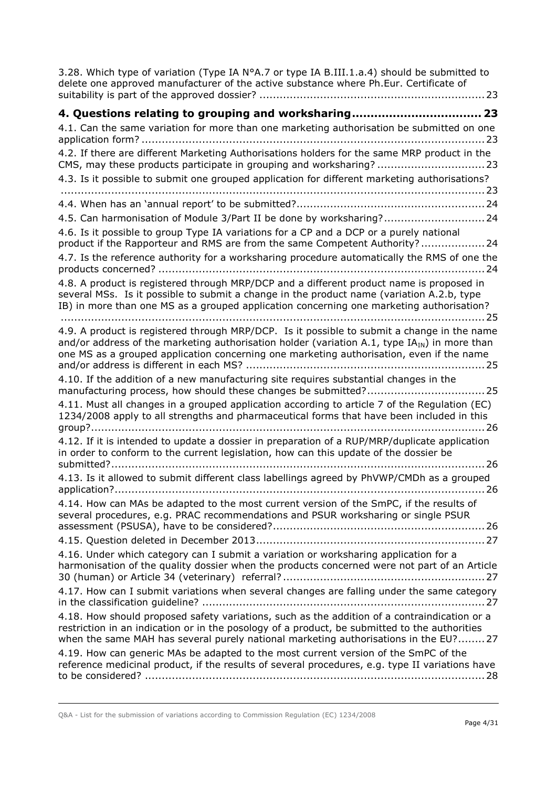| 3.28. Which type of variation (Type IA N°A.7 or type IA B.III.1.a.4) should be submitted to<br>delete one approved manufacturer of the active substance where Ph.Eur. Certificate of                                                                                                       |
|--------------------------------------------------------------------------------------------------------------------------------------------------------------------------------------------------------------------------------------------------------------------------------------------|
|                                                                                                                                                                                                                                                                                            |
| 4.1. Can the same variation for more than one marketing authorisation be submitted on one                                                                                                                                                                                                  |
| 4.2. If there are different Marketing Authorisations holders for the same MRP product in the<br>CMS, may these products participate in grouping and worksharing? 23                                                                                                                        |
| 4.3. Is it possible to submit one grouped application for different marketing authorisations?                                                                                                                                                                                              |
|                                                                                                                                                                                                                                                                                            |
| 4.5. Can harmonisation of Module 3/Part II be done by worksharing? 24                                                                                                                                                                                                                      |
| 4.6. Is it possible to group Type IA variations for a CP and a DCP or a purely national<br>product if the Rapporteur and RMS are from the same Competent Authority?24                                                                                                                      |
| 4.7. Is the reference authority for a worksharing procedure automatically the RMS of one the                                                                                                                                                                                               |
| 4.8. A product is registered through MRP/DCP and a different product name is proposed in<br>several MSs. Is it possible to submit a change in the product name (variation A.2.b, type<br>IB) in more than one MS as a grouped application concerning one marketing authorisation?          |
| 4.9. A product is registered through MRP/DCP. Is it possible to submit a change in the name<br>and/or address of the marketing authorisation holder (variation A.1, type $IAIN$ ) in more than<br>one MS as a grouped application concerning one marketing authorisation, even if the name |
| 4.10. If the addition of a new manufacturing site requires substantial changes in the                                                                                                                                                                                                      |
| 4.11. Must all changes in a grouped application according to article 7 of the Regulation (EC)<br>1234/2008 apply to all strengths and pharmaceutical forms that have been included in this                                                                                                 |
| 4.12. If it is intended to update a dossier in preparation of a RUP/MRP/duplicate application<br>in order to conform to the current legislation, how can this update of the dossier be                                                                                                     |
| 4.13. Is it allowed to submit different class labellings agreed by PhVWP/CMDh as a grouped                                                                                                                                                                                                 |
| 4.14. How can MAs be adapted to the most current version of the SmPC, if the results of<br>several procedures, e.g. PRAC recommendations and PSUR worksharing or single PSUR<br>4.16. Under which category can I submit a variation or worksharing application for a                       |
| harmonisation of the quality dossier when the products concerned were not part of an Article                                                                                                                                                                                               |
| 4.17. How can I submit variations when several changes are falling under the same category                                                                                                                                                                                                 |
| 4.18. How should proposed safety variations, such as the addition of a contraindication or a<br>restriction in an indication or in the posology of a product, be submitted to the authorities<br>when the same MAH has several purely national marketing authorisations in the EU?27       |
| 4.19. How can generic MAs be adapted to the most current version of the SmPC of the<br>reference medicinal product, if the results of several procedures, e.g. type II variations have                                                                                                     |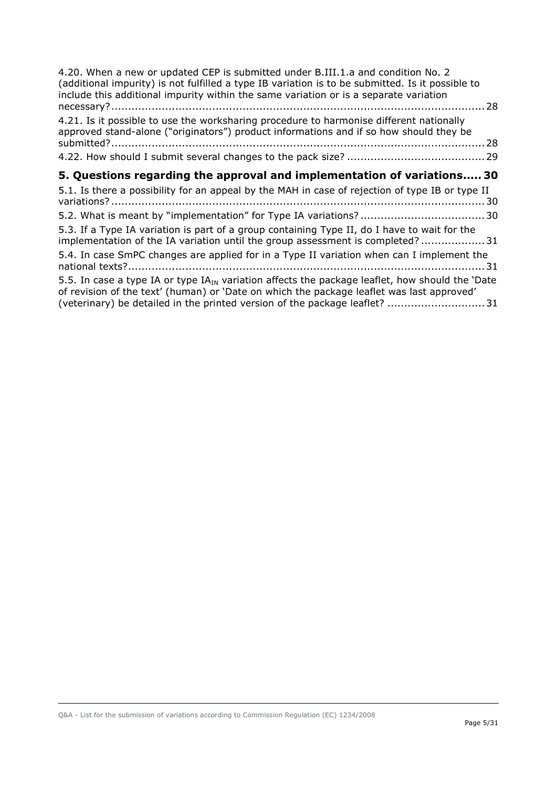| 4.20. When a new or updated CEP is submitted under B.III.1.a and condition No. 2<br>(additional impurity) is not fulfilled a type IB variation is to be submitted. Is it possible to<br>include this additional impurity within the same variation or is a separate variation    | 28 |
|----------------------------------------------------------------------------------------------------------------------------------------------------------------------------------------------------------------------------------------------------------------------------------|----|
| 4.21. Is it possible to use the worksharing procedure to harmonise different nationally<br>approved stand-alone ("originators") product informations and if so how should they be                                                                                                |    |
|                                                                                                                                                                                                                                                                                  |    |
| 5. Questions regarding the approval and implementation of variations 30                                                                                                                                                                                                          |    |
| 5.1. Is there a possibility for an appeal by the MAH in case of rejection of type IB or type II                                                                                                                                                                                  |    |
|                                                                                                                                                                                                                                                                                  |    |
| 5.3. If a Type IA variation is part of a group containing Type II, do I have to wait for the<br>implementation of the IA variation until the group assessment is completed?31                                                                                                    |    |
| 5.4. In case SmPC changes are applied for in a Type II variation when can I implement the                                                                                                                                                                                        |    |
| 5.5. In case a type IA or type $IA_{IN}$ variation affects the package leaflet, how should the 'Date<br>of revision of the text' (human) or 'Date on which the package leaflet was last approved'<br>(veterinary) be detailed in the printed version of the package leaflet?  31 |    |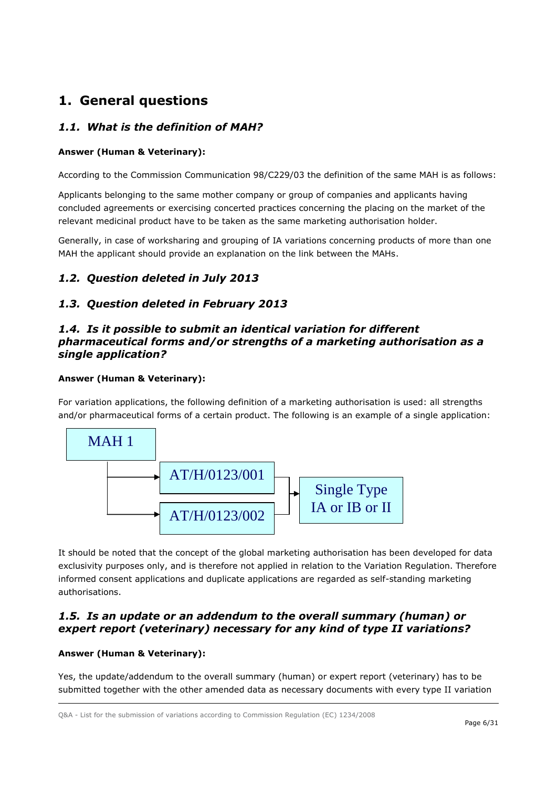# <span id="page-5-0"></span>**1. General questions**

# <span id="page-5-1"></span>*1.1. What is the definition of MAH?*

### **Answer (Human & Veterinary):**

According to the Commission Communication 98/C229/03 the definition of the same MAH is as follows:

Applicants belonging to the same mother company or group of companies and applicants having concluded agreements or exercising concerted practices concerning the placing on the market of the relevant medicinal product have to be taken as the same marketing authorisation holder.

Generally, in case of worksharing and grouping of IA variations concerning products of more than one MAH the applicant should provide an explanation on the link between the MAHs.

# <span id="page-5-2"></span>*1.2. Question deleted in July 2013*

## <span id="page-5-3"></span>*1.3. Question deleted in February 2013*

## <span id="page-5-4"></span>*1.4. Is it possible to submit an identical variation for different pharmaceutical forms and/or strengths of a marketing authorisation as a single application?*

### **Answer (Human & Veterinary):**

For variation applications, the following definition of a marketing authorisation is used: all strengths and/or pharmaceutical forms of a certain product. The following is an example of a single application:



It should be noted that the concept of the global marketing authorisation has been developed for data exclusivity purposes only, and is therefore not applied in relation to the Variation Regulation. Therefore informed consent applications and duplicate applications are regarded as self-standing marketing authorisations.

## <span id="page-5-5"></span>*1.5. Is an update or an addendum to the overall summary (human) or expert report (veterinary) necessary for any kind of type II variations?*

#### **Answer (Human & Veterinary):**

Yes, the update/addendum to the overall summary (human) or expert report (veterinary) has to be submitted together with the other amended data as necessary documents with every type II variation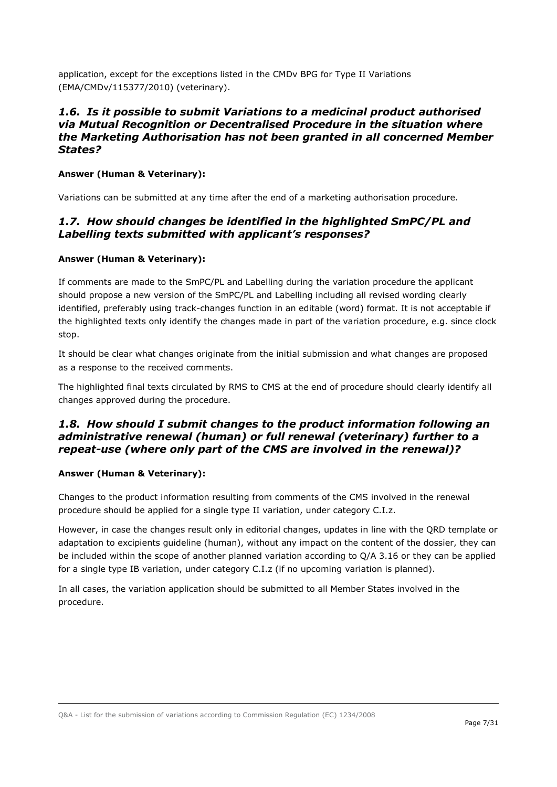application, except for the exceptions listed in the CMDv BPG for Type II Variations (EMA/CMDv/115377/2010) (veterinary).

### <span id="page-6-0"></span>*1.6. Is it possible to submit Variations to a medicinal product authorised via Mutual Recognition or Decentralised Procedure in the situation where the Marketing Authorisation has not been granted in all concerned Member States?*

#### **Answer (Human & Veterinary):**

Variations can be submitted at any time after the end of a marketing authorisation procedure.

## <span id="page-6-1"></span>*1.7. How should changes be identified in the highlighted SmPC/PL and Labelling texts submitted with applicant's responses?*

#### **Answer (Human & Veterinary):**

If comments are made to the SmPC/PL and Labelling during the variation procedure the applicant should propose a new version of the SmPC/PL and Labelling including all revised wording clearly identified, preferably using track-changes function in an editable (word) format. It is not acceptable if the highlighted texts only identify the changes made in part of the variation procedure, e.g. since clock stop.

It should be clear what changes originate from the initial submission and what changes are proposed as a response to the received comments.

The highlighted final texts circulated by RMS to CMS at the end of procedure should clearly identify all changes approved during the procedure.

## <span id="page-6-2"></span>*1.8. How should I submit changes to the product information following an administrative renewal (human) or full renewal (veterinary) further to a repeat-use (where only part of the CMS are involved in the renewal)?*

#### **Answer (Human & Veterinary):**

Changes to the product information resulting from comments of the CMS involved in the renewal procedure should be applied for a single type II variation, under category C.I.z.

However, in case the changes result only in editorial changes, updates in line with the QRD template or adaptation to excipients guideline (human), without any impact on the content of the dossier, they can be included within the scope of another planned variation according to Q/A 3.16 or they can be applied for a single type IB variation, under category C.I.z (if no upcoming variation is planned).

In all cases, the variation application should be submitted to all Member States involved in the procedure.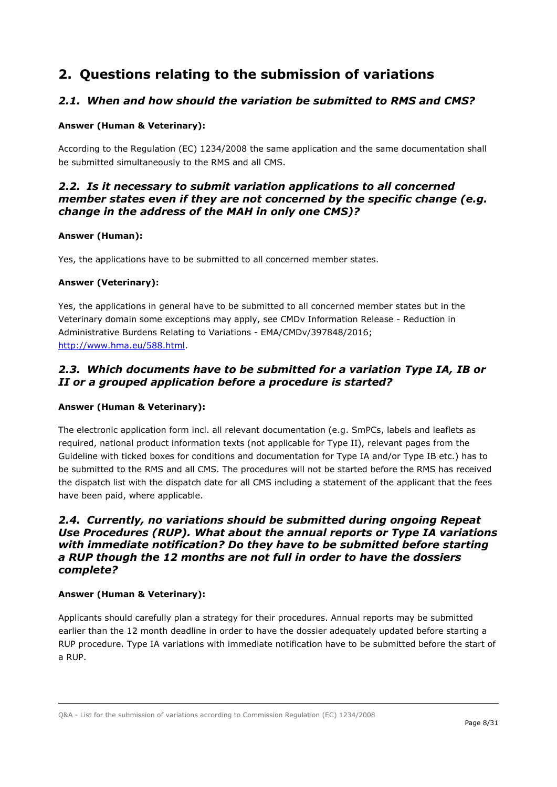# <span id="page-7-0"></span>**2. Questions relating to the submission of variations**

## <span id="page-7-1"></span>*2.1. When and how should the variation be submitted to RMS and CMS?*

#### **Answer (Human & Veterinary):**

According to the Regulation (EC) 1234/2008 the same application and the same documentation shall be submitted simultaneously to the RMS and all CMS.

### <span id="page-7-2"></span>*2.2. Is it necessary to submit variation applications to all concerned member states even if they are not concerned by the specific change (e.g. change in the address of the MAH in only one CMS)?*

#### **Answer (Human):**

Yes, the applications have to be submitted to all concerned member states.

#### **Answer (Veterinary):**

Yes, the applications in general have to be submitted to all concerned member states but in the Veterinary domain some exceptions may apply, see CMDv Information Release - Reduction in Administrative Burdens Relating to Variations - EMA/CMDv/397848/2016; [http://www.hma.eu/588.html.](http://www.hma.eu/588.html)

# <span id="page-7-3"></span>*2.3. Which documents have to be submitted for a variation Type IA, IB or II or a grouped application before a procedure is started?*

#### **Answer (Human & Veterinary):**

The electronic application form incl. all relevant documentation (e.g. SmPCs, labels and leaflets as required, national product information texts (not applicable for Type II), relevant pages from the Guideline with ticked boxes for conditions and documentation for Type IA and/or Type IB etc.) has to be submitted to the RMS and all CMS. The procedures will not be started before the RMS has received the dispatch list with the dispatch date for all CMS including a statement of the applicant that the fees have been paid, where applicable.

### <span id="page-7-4"></span>*2.4. Currently, no variations should be submitted during ongoing Repeat Use Procedures (RUP). What about the annual reports or Type IA variations with immediate notification? Do they have to be submitted before starting a RUP though the 12 months are not full in order to have the dossiers complete?*

#### **Answer (Human & Veterinary):**

Applicants should carefully plan a strategy for their procedures. Annual reports may be submitted earlier than the 12 month deadline in order to have the dossier adequately updated before starting a RUP procedure. Type IA variations with immediate notification have to be submitted before the start of a RUP.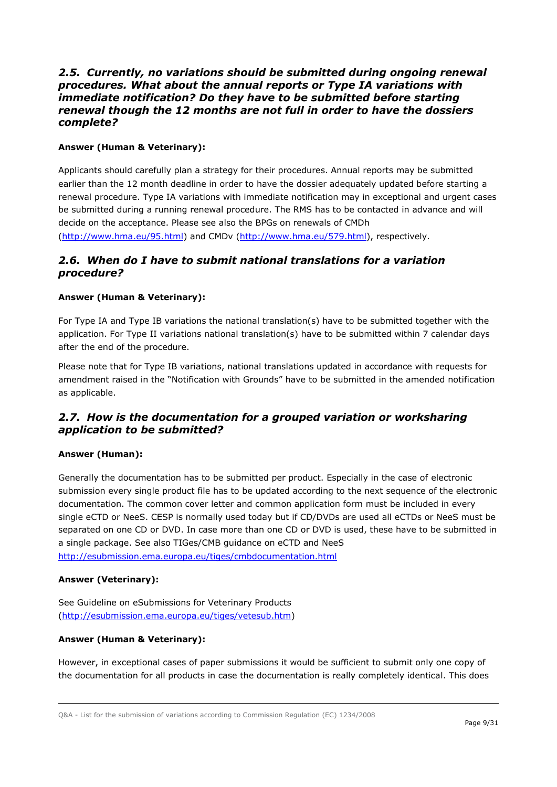### <span id="page-8-0"></span>*2.5. Currently, no variations should be submitted during ongoing renewal procedures. What about the annual reports or Type IA variations with immediate notification? Do they have to be submitted before starting renewal though the 12 months are not full in order to have the dossiers complete?*

### **Answer (Human & Veterinary):**

Applicants should carefully plan a strategy for their procedures. Annual reports may be submitted earlier than the 12 month deadline in order to have the dossier adequately updated before starting a renewal procedure. Type IA variations with immediate notification may in exceptional and urgent cases be submitted during a running renewal procedure. The RMS has to be contacted in advance and will decide on the acceptance. Please see also the BPGs on renewals of CMDh [\(http://www.hma.eu/95.html\)](http://www.hma.eu/95.html) and CMDv [\(http://www.hma.eu/579.html\)](http://www.hma.eu/579.html), respectively.

### <span id="page-8-1"></span>*2.6. When do I have to submit national translations for a variation procedure?*

#### **Answer (Human & Veterinary):**

For Type IA and Type IB variations the national translation(s) have to be submitted together with the application. For Type II variations national translation(s) have to be submitted within 7 calendar days after the end of the procedure.

Please note that for Type IB variations, national translations updated in accordance with requests for amendment raised in the "Notification with Grounds" have to be submitted in the amended notification as applicable.

## <span id="page-8-2"></span>*2.7. How is the documentation for a grouped variation or worksharing application to be submitted?*

#### **Answer (Human):**

Generally the documentation has to be submitted per product. Especially in the case of electronic submission every single product file has to be updated according to the next sequence of the electronic documentation. The common cover letter and common application form must be included in every single eCTD or NeeS. CESP is normally used today but if CD/DVDs are used all eCTDs or NeeS must be separated on one CD or DVD. In case more than one CD or DVD is used, these have to be submitted in a single package. See also TIGes/CMB guidance on eCTD and NeeS <http://esubmission.ema.europa.eu/tiges/cmbdocumentation.html>

#### **Answer (Veterinary):**

See Guideline on eSubmissions for Veterinary Products [\(http://esubmission.ema.europa.eu/tiges/vetesub.htm\)](http://esubmission.ema.europa.eu/tiges/vetesub.htm)

#### **Answer (Human & Veterinary):**

However, in exceptional cases of paper submissions it would be sufficient to submit only one copy of the documentation for all products in case the documentation is really completely identical. This does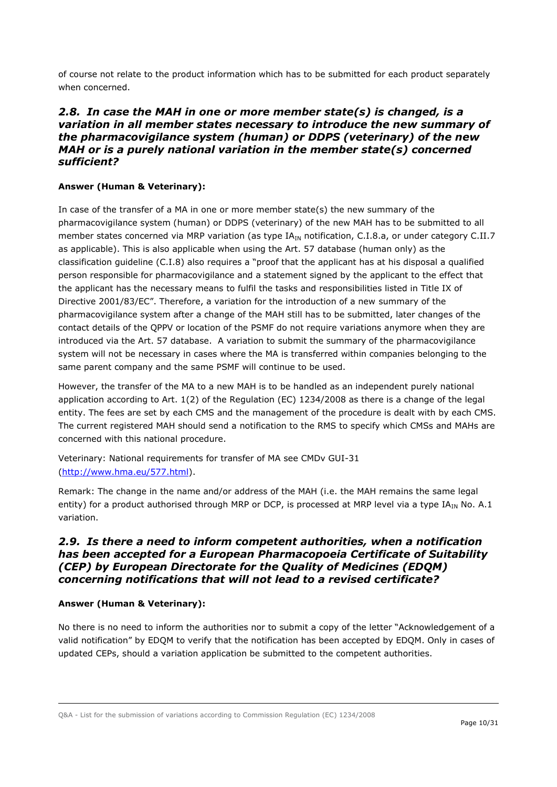of course not relate to the product information which has to be submitted for each product separately when concerned.

### <span id="page-9-0"></span>*2.8. In case the MAH in one or more member state(s) is changed, is a variation in all member states necessary to introduce the new summary of the pharmacovigilance system (human) or DDPS (veterinary) of the new MAH or is a purely national variation in the member state(s) concerned sufficient?*

#### **Answer (Human & Veterinary):**

In case of the transfer of a MA in one or more member state(s) the new summary of the pharmacovigilance system (human) or DDPS (veterinary) of the new MAH has to be submitted to all member states concerned via MRP variation (as type  $IA_{IN}$  notification, C.I.8.a, or under category C.II.7 as applicable). This is also applicable when using the Art. 57 database (human only) as the classification guideline (C.I.8) also requires a "proof that the applicant has at his disposal a qualified person responsible for pharmacovigilance and a statement signed by the applicant to the effect that the applicant has the necessary means to fulfil the tasks and responsibilities listed in Title IX of Directive 2001/83/EC". Therefore, a variation for the introduction of a new summary of the pharmacovigilance system after a change of the MAH still has to be submitted, later changes of the contact details of the QPPV or location of the PSMF do not require variations anymore when they are introduced via the Art. 57 database. A variation to submit the summary of the pharmacovigilance system will not be necessary in cases where the MA is transferred within companies belonging to the same parent company and the same PSMF will continue to be used.

However, the transfer of the MA to a new MAH is to be handled as an independent purely national application according to Art. 1(2) of the Regulation (EC) 1234/2008 as there is a change of the legal entity. The fees are set by each CMS and the management of the procedure is dealt with by each CMS. The current registered MAH should send a notification to the RMS to specify which CMSs and MAHs are concerned with this national procedure.

Veterinary: National requirements for transfer of MA see CMDv GUI-31 [\(http://www.hma.eu/577.html\)](http://www.hma.eu/577.html).

Remark: The change in the name and/or address of the MAH (i.e. the MAH remains the same legal entity) for a product authorised through MRP or DCP, is processed at MRP level via a type  $IA_{IN}$  No. A.1 variation.

### <span id="page-9-1"></span>*2.9. Is there a need to inform competent authorities, when a notification has been accepted for a European Pharmacopoeia Certificate of Suitability (CEP) by European Directorate for the Quality of Medicines (EDQM) concerning notifications that will not lead to a revised certificate?*

#### **Answer (Human & Veterinary):**

No there is no need to inform the authorities nor to submit a copy of the letter "Acknowledgement of a valid notification" by EDQM to verify that the notification has been accepted by EDQM. Only in cases of updated CEPs, should a variation application be submitted to the competent authorities.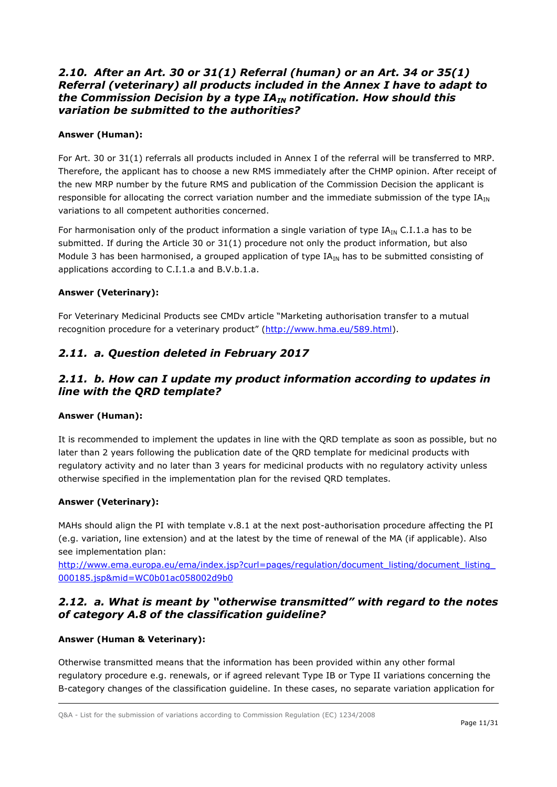### <span id="page-10-0"></span>*2.10. After an Art. 30 or 31(1) Referral (human) or an Art. 34 or 35(1) Referral (veterinary) all products included in the Annex I have to adapt to the Commission Decision by a type IAIN notification. How should this variation be submitted to the authorities?*

### **Answer (Human):**

For Art. 30 or 31(1) referrals all products included in Annex I of the referral will be transferred to MRP. Therefore, the applicant has to choose a new RMS immediately after the CHMP opinion. After receipt of the new MRP number by the future RMS and publication of the Commission Decision the applicant is responsible for allocating the correct variation number and the immediate submission of the type  $IA_{IN}$ variations to all competent authorities concerned.

For harmonisation only of the product information a single variation of type  $IA_{IN} C.I.1.a$  has to be submitted. If during the Article 30 or 31(1) procedure not only the product information, but also Module 3 has been harmonised, a grouped application of type  $IA_{IN}$  has to be submitted consisting of applications according to C.I.1.a and B.V.b.1.a.

#### **Answer (Veterinary):**

For Veterinary Medicinal Products see CMDv article "Marketing authorisation transfer to a mutual recognition procedure for a veterinary product" [\(http://www.hma.eu/589.html\)](http://www.hma.eu/589.html).

# <span id="page-10-1"></span>*2.11. a. Question deleted in February 2017*

## <span id="page-10-2"></span>*2.11. b. How can I update my product information according to updates in line with the QRD template?*

#### **Answer (Human):**

It is recommended to implement the updates in line with the QRD template as soon as possible, but no later than 2 years following the publication date of the QRD template for medicinal products with regulatory activity and no later than 3 years for medicinal products with no regulatory activity unless otherwise specified in the implementation plan for the revised QRD templates.

#### **Answer (Veterinary):**

MAHs should align the PI with template v.8.1 at the next post-authorisation procedure affecting the PI (e.g. variation, line extension) and at the latest by the time of renewal of the MA (if applicable). Also see implementation plan:

http://www.ema.europa.eu/ema/index.jsp?curl=pages/regulation/document\_listing/document\_listing [000185.jsp&mid=WC0b01ac058002d9b0](http://www.ema.europa.eu/ema/index.jsp?curl=pages/regulation/document_listing/document_listing_000185.jsp&mid=WC0b01ac058002d9b0)

## <span id="page-10-3"></span>*2.12. a. What is meant by "otherwise transmitted" with regard to the notes of category A.8 of the classification guideline?*

#### **Answer (Human & Veterinary):**

Otherwise transmitted means that the information has been provided within any other formal regulatory procedure e.g. renewals, or if agreed relevant Type IB or Type II variations concerning the B-category changes of the classification guideline. In these cases, no separate variation application for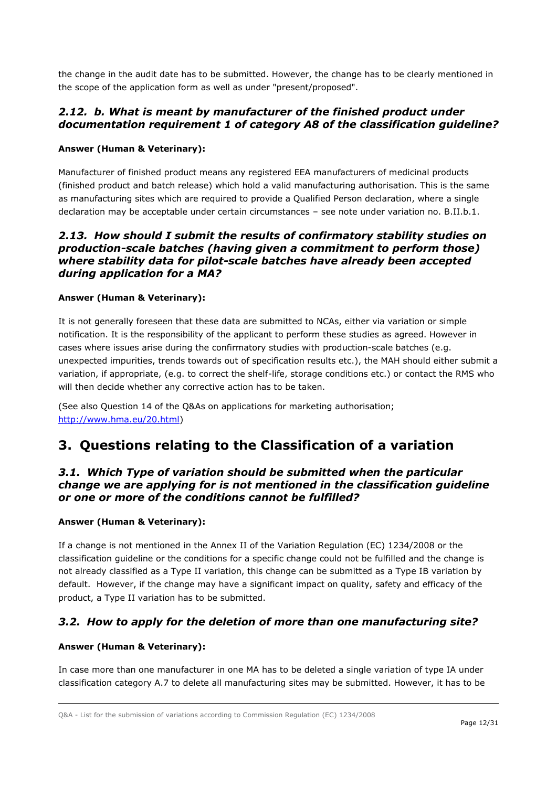the change in the audit date has to be submitted. However, the change has to be clearly mentioned in the scope of the application form as well as under "present/proposed".

### <span id="page-11-0"></span>*2.12. b. What is meant by manufacturer of the finished product under documentation requirement 1 of category A8 of the classification guideline?*

### **Answer (Human & Veterinary):**

Manufacturer of finished product means any registered EEA manufacturers of medicinal products (finished product and batch release) which hold a valid manufacturing authorisation. This is the same as manufacturing sites which are required to provide a Qualified Person declaration, where a single declaration may be acceptable under certain circumstances – see note under variation no. B.II.b.1.

### <span id="page-11-1"></span>*2.13. How should I submit the results of confirmatory stability studies on production-scale batches (having given a commitment to perform those) where stability data for pilot-scale batches have already been accepted during application for a MA?*

#### **Answer (Human & Veterinary):**

It is not generally foreseen that these data are submitted to NCAs, either via variation or simple notification. It is the responsibility of the applicant to perform these studies as agreed. However in cases where issues arise during the confirmatory studies with production-scale batches (e.g. unexpected impurities, trends towards out of specification results etc.), the MAH should either submit a variation, if appropriate, (e.g. to correct the shelf-life, storage conditions etc.) or contact the RMS who will then decide whether any corrective action has to be taken.

(See also Question 14 of the Q&As on applications for marketing authorisation; [http://www.hma.eu/20.html\)](http://www.hma.eu/20.html)

# <span id="page-11-2"></span>**3. Questions relating to the Classification of a variation**

### <span id="page-11-3"></span>*3.1. Which Type of variation should be submitted when the particular change we are applying for is not mentioned in the classification guideline or one or more of the conditions cannot be fulfilled?*

#### **Answer (Human & Veterinary):**

If a change is not mentioned in the Annex II of the Variation Regulation (EC) 1234/2008 or the classification guideline or the conditions for a specific change could not be fulfilled and the change is not already classified as a Type II variation, this change can be submitted as a Type IB variation by default. However, if the change may have a significant impact on quality, safety and efficacy of the product, a Type II variation has to be submitted.

## <span id="page-11-4"></span>*3.2. How to apply for the deletion of more than one manufacturing site?*

#### **Answer (Human & Veterinary):**

In case more than one manufacturer in one MA has to be deleted a single variation of type IA under classification category A.7 to delete all manufacturing sites may be submitted. However, it has to be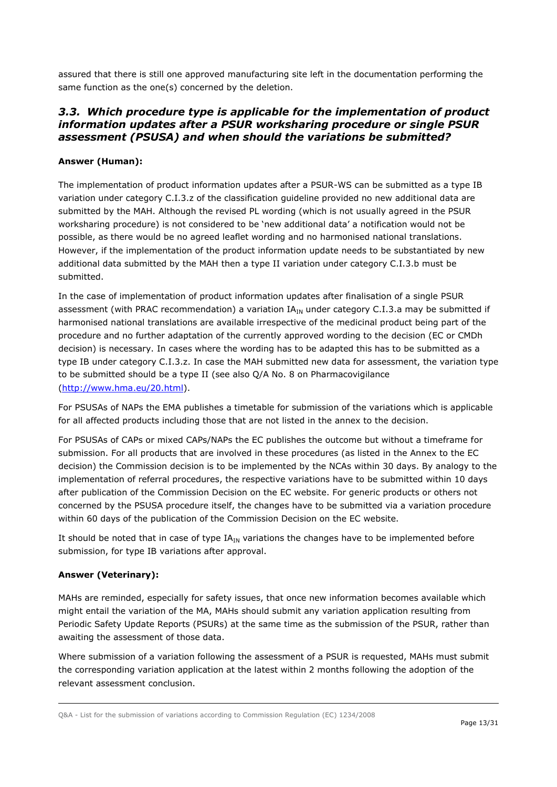assured that there is still one approved manufacturing site left in the documentation performing the same function as the one(s) concerned by the deletion.

### <span id="page-12-0"></span>*3.3. Which procedure type is applicable for the implementation of product information updates after a PSUR worksharing procedure or single PSUR assessment (PSUSA) and when should the variations be submitted?*

#### **Answer (Human):**

The implementation of product information updates after a PSUR-WS can be submitted as a type IB variation under category C.I.3.z of the classification guideline provided no new additional data are submitted by the MAH. Although the revised PL wording (which is not usually agreed in the PSUR worksharing procedure) is not considered to be 'new additional data' a notification would not be possible, as there would be no agreed leaflet wording and no harmonised national translations. However, if the implementation of the product information update needs to be substantiated by new additional data submitted by the MAH then a type II variation under category C.I.3.b must be submitted.

In the case of implementation of product information updates after finalisation of a single PSUR assessment (with PRAC recommendation) a variation  $IA_{IN}$  under category C.I.3.a may be submitted if harmonised national translations are available irrespective of the medicinal product being part of the procedure and no further adaptation of the currently approved wording to the decision (EC or CMDh decision) is necessary. In cases where the wording has to be adapted this has to be submitted as a type IB under category C.I.3.z. In case the MAH submitted new data for assessment, the variation type to be submitted should be a type II (see also Q/A No. 8 on Pharmacovigilance [\(http://www.hma.eu/20.html\)](http://www.hma.eu/20.html).

For PSUSAs of NAPs the EMA publishes a timetable for submission of the variations which is applicable for all affected products including those that are not listed in the annex to the decision.

For PSUSAs of CAPs or mixed CAPs/NAPs the EC publishes the outcome but without a timeframe for submission. For all products that are involved in these procedures (as listed in the Annex to the EC decision) the Commission decision is to be implemented by the NCAs within 30 days. By analogy to the implementation of referral procedures, the respective variations have to be submitted within 10 days after publication of the Commission Decision on the EC website. For generic products or others not concerned by the PSUSA procedure itself, the changes have to be submitted via a variation procedure within 60 days of the publication of the Commission Decision on the EC website.

It should be noted that in case of type  $IA_{IN}$  variations the changes have to be implemented before submission, for type IB variations after approval.

#### **Answer (Veterinary):**

MAHs are reminded, especially for safety issues, that once new information becomes available which might entail the variation of the MA, MAHs should submit any variation application resulting from Periodic Safety Update Reports (PSURs) at the same time as the submission of the PSUR, rather than awaiting the assessment of those data.

Where submission of a variation following the assessment of a PSUR is requested, MAHs must submit the corresponding variation application at the latest within 2 months following the adoption of the relevant assessment conclusion.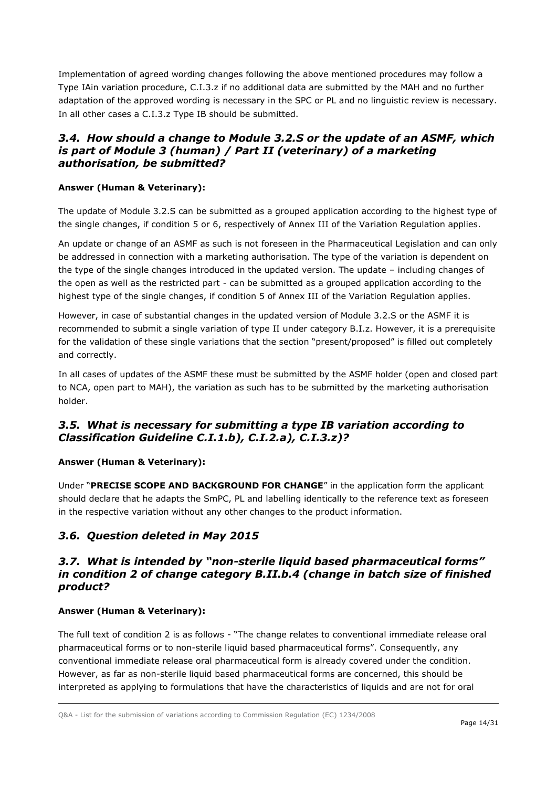Implementation of agreed wording changes following the above mentioned procedures may follow a Type IAin variation procedure, C.I.3.z if no additional data are submitted by the MAH and no further adaptation of the approved wording is necessary in the SPC or PL and no linguistic review is necessary. In all other cases a C.I.3.z Type IB should be submitted.

## <span id="page-13-0"></span>*3.4. How should a change to Module 3.2.S or the update of an ASMF, which is part of Module 3 (human) / Part II (veterinary) of a marketing authorisation, be submitted?*

### **Answer (Human & Veterinary):**

The update of Module 3.2.S can be submitted as a grouped application according to the highest type of the single changes, if condition 5 or 6, respectively of Annex III of the Variation Regulation applies.

An update or change of an ASMF as such is not foreseen in the Pharmaceutical Legislation and can only be addressed in connection with a marketing authorisation. The type of the variation is dependent on the type of the single changes introduced in the updated version. The update – including changes of the open as well as the restricted part - can be submitted as a grouped application according to the highest type of the single changes, if condition 5 of Annex III of the Variation Regulation applies.

However, in case of substantial changes in the updated version of Module 3.2.S or the ASMF it is recommended to submit a single variation of type II under category B.I.z. However, it is a prerequisite for the validation of these single variations that the section "present/proposed" is filled out completely and correctly.

In all cases of updates of the ASMF these must be submitted by the ASMF holder (open and closed part to NCA, open part to MAH), the variation as such has to be submitted by the marketing authorisation holder.

# <span id="page-13-1"></span>*3.5. What is necessary for submitting a type IB variation according to Classification Guideline C.I.1.b), C.I.2.a), C.I.3.z)?*

#### **Answer (Human & Veterinary):**

Under "**PRECISE SCOPE AND BACKGROUND FOR CHANGE**" in the application form the applicant should declare that he adapts the SmPC, PL and labelling identically to the reference text as foreseen in the respective variation without any other changes to the product information.

## <span id="page-13-2"></span>*3.6. Question deleted in May 2015*

### <span id="page-13-3"></span>*3.7. What is intended by "non-sterile liquid based pharmaceutical forms" in condition 2 of change category B.II.b.4 (change in batch size of finished product?*

#### **Answer (Human & Veterinary):**

The full text of condition 2 is as follows - "The change relates to conventional immediate release oral pharmaceutical forms or to non-sterile liquid based pharmaceutical forms". Consequently, any conventional immediate release oral pharmaceutical form is already covered under the condition. However, as far as non-sterile liquid based pharmaceutical forms are concerned, this should be interpreted as applying to formulations that have the characteristics of liquids and are not for oral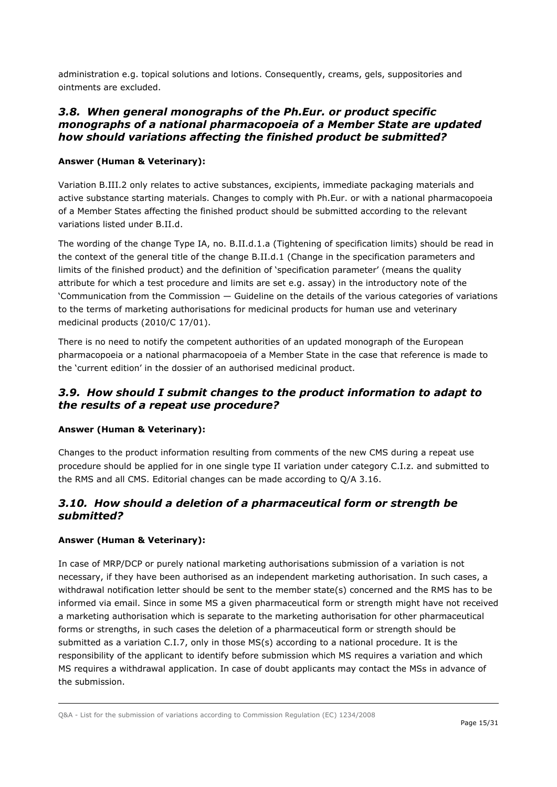administration e.g. topical solutions and lotions. Consequently, creams, gels, suppositories and ointments are excluded.

### <span id="page-14-0"></span>*3.8. When general monographs of the Ph.Eur. or product specific monographs of a national pharmacopoeia of a Member State are updated how should variations affecting the finished product be submitted?*

#### **Answer (Human & Veterinary):**

Variation B.III.2 only relates to active substances, excipients, immediate packaging materials and active substance starting materials. Changes to comply with Ph.Eur. or with a national pharmacopoeia of a Member States affecting the finished product should be submitted according to the relevant variations listed under B.II.d.

The wording of the change Type IA, no. B.II.d.1.a (Tightening of specification limits) should be read in the context of the general title of the change B.II.d.1 (Change in the specification parameters and limits of the finished product) and the definition of 'specification parameter' (means the quality attribute for which a test procedure and limits are set e.g. assay) in the introductory note of the 'Communication from the Commission — Guideline on the details of the various categories of variations to the terms of marketing authorisations for medicinal products for human use and veterinary medicinal products (2010/C 17/01).

There is no need to notify the competent authorities of an updated monograph of the European pharmacopoeia or a national pharmacopoeia of a Member State in the case that reference is made to the 'current edition' in the dossier of an authorised medicinal product.

### <span id="page-14-1"></span>*3.9. How should I submit changes to the product information to adapt to the results of a repeat use procedure?*

#### **Answer (Human & Veterinary):**

Changes to the product information resulting from comments of the new CMS during a repeat use procedure should be applied for in one single type II variation under category C.I.z. and submitted to the RMS and all CMS. Editorial changes can be made according to Q/A 3.16.

### <span id="page-14-2"></span>*3.10. How should a deletion of a pharmaceutical form or strength be submitted?*

#### **Answer (Human & Veterinary):**

In case of MRP/DCP or purely national marketing authorisations submission of a variation is not necessary, if they have been authorised as an independent marketing authorisation. In such cases, a withdrawal notification letter should be sent to the member state(s) concerned and the RMS has to be informed via email. Since in some MS a given pharmaceutical form or strength might have not received a marketing authorisation which is separate to the marketing authorisation for other pharmaceutical forms or strengths, in such cases the deletion of a pharmaceutical form or strength should be submitted as a variation C.I.7, only in those MS(s) according to a national procedure. It is the responsibility of the applicant to identify before submission which MS requires a variation and which MS requires a withdrawal application. In case of doubt applicants may contact the MSs in advance of the submission.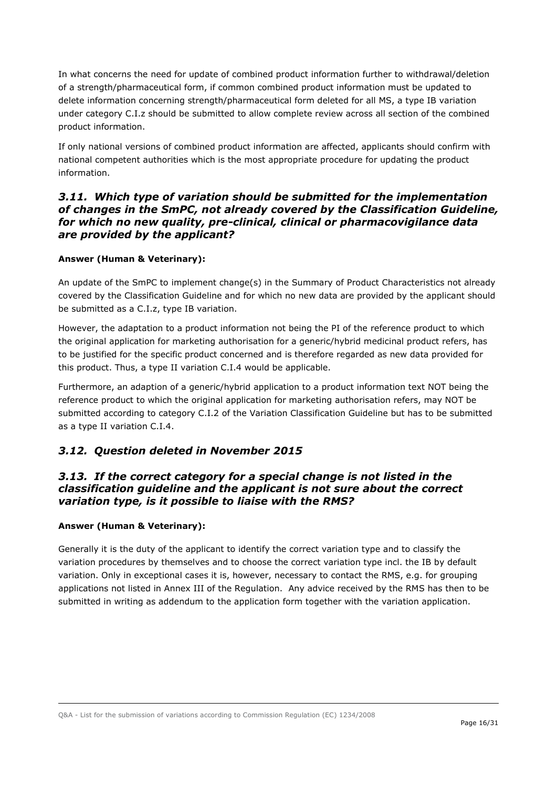In what concerns the need for update of combined product information further to withdrawal/deletion of a strength/pharmaceutical form, if common combined product information must be updated to delete information concerning strength/pharmaceutical form deleted for all MS, a type IB variation under category C.I.z should be submitted to allow complete review across all section of the combined product information.

If only national versions of combined product information are affected, applicants should confirm with national competent authorities which is the most appropriate procedure for updating the product information.

### <span id="page-15-0"></span>*3.11. Which type of variation should be submitted for the implementation of changes in the SmPC, not already covered by the Classification Guideline, for which no new quality, pre-clinical, clinical or pharmacovigilance data are provided by the applicant?*

#### **Answer (Human & Veterinary):**

An update of the SmPC to implement change(s) in the Summary of Product Characteristics not already covered by the Classification Guideline and for which no new data are provided by the applicant should be submitted as a C.I.z, type IB variation.

However, the adaptation to a product information not being the PI of the reference product to which the original application for marketing authorisation for a generic/hybrid medicinal product refers, has to be justified for the specific product concerned and is therefore regarded as new data provided for this product. Thus, a type II variation C.I.4 would be applicable.

Furthermore, an adaption of a generic/hybrid application to a product information text NOT being the reference product to which the original application for marketing authorisation refers, may NOT be submitted according to category C.I.2 of the Variation Classification Guideline but has to be submitted as a type II variation C.I.4.

## <span id="page-15-1"></span>*3.12. Question deleted in November 2015*

### <span id="page-15-2"></span>*3.13. If the correct category for a special change is not listed in the classification guideline and the applicant is not sure about the correct variation type, is it possible to liaise with the RMS?*

#### **Answer (Human & Veterinary):**

Generally it is the duty of the applicant to identify the correct variation type and to classify the variation procedures by themselves and to choose the correct variation type incl. the IB by default variation. Only in exceptional cases it is, however, necessary to contact the RMS, e.g. for grouping applications not listed in Annex III of the Regulation. Any advice received by the RMS has then to be submitted in writing as addendum to the application form together with the variation application.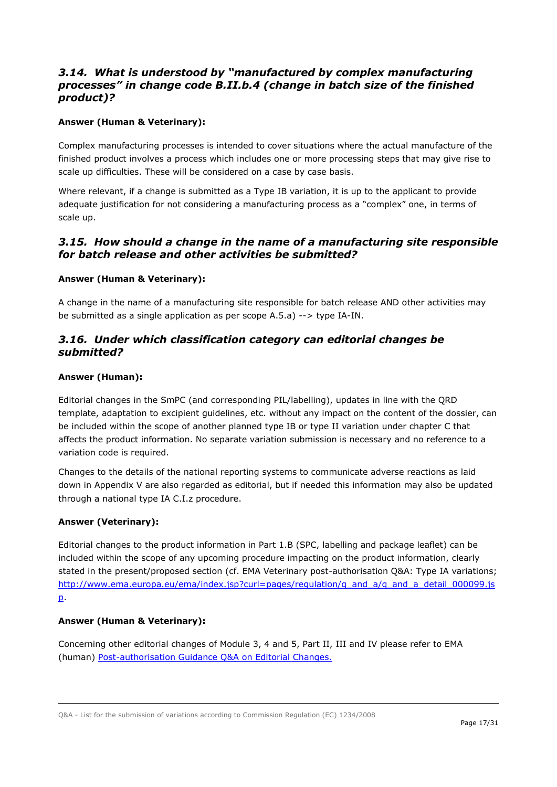## <span id="page-16-0"></span>*3.14. What is understood by "manufactured by complex manufacturing processes" in change code B.II.b.4 (change in batch size of the finished product)?*

### **Answer (Human & Veterinary):**

Complex manufacturing processes is intended to cover situations where the actual manufacture of the finished product involves a process which includes one or more processing steps that may give rise to scale up difficulties. These will be considered on a case by case basis.

Where relevant, if a change is submitted as a Type IB variation, it is up to the applicant to provide adequate justification for not considering a manufacturing process as a "complex" one, in terms of scale up.

### <span id="page-16-1"></span>*3.15. How should a change in the name of a manufacturing site responsible for batch release and other activities be submitted?*

#### **Answer (Human & Veterinary):**

A change in the name of a manufacturing site responsible for batch release AND other activities may be submitted as a single application as per scope A.5.a) --> type IA-IN.

### <span id="page-16-2"></span>*3.16. Under which classification category can editorial changes be submitted?*

#### **Answer (Human):**

Editorial changes in the SmPC (and corresponding PIL/labelling), updates in line with the QRD template, adaptation to excipient guidelines, etc. without any impact on the content of the dossier, can be included within the scope of another planned type IB or type II variation under chapter C that affects the product information. No separate variation submission is necessary and no reference to a variation code is required.

Changes to the details of the national reporting systems to communicate adverse reactions as laid down in Appendix V are also regarded as editorial, but if needed this information may also be updated through a national type IA C.I.z procedure.

#### **Answer (Veterinary):**

Editorial changes to the product information in Part 1.B (SPC, labelling and package leaflet) can be included within the scope of any upcoming procedure impacting on the product information, clearly stated in the present/proposed section (cf. EMA Veterinary post-authorisation Q&A: Type IA variations; [http://www.ema.europa.eu/ema/index.jsp?curl=pages/regulation/q\\_and\\_a/q\\_and\\_a\\_detail\\_000099.js](http://www.ema.europa.eu/ema/index.jsp?curl=pages/regulation/q_and_a/q_and_a_detail_000099.jsp) [p.](http://www.ema.europa.eu/ema/index.jsp?curl=pages/regulation/q_and_a/q_and_a_detail_000099.jsp)

#### **Answer (Human & Veterinary):**

Concerning other editorial changes of Module 3, 4 and 5, Part II, III and IV please refer to EMA (human) [Post-authorisation Guidance Q&A on Editorial Changes.](http://www.ema.europa.eu/ema/index.jsp?curl=pages/regulation/q_and_a/q_and_a_detail_000019.jsp&mid=WC0b01ac0580023b12)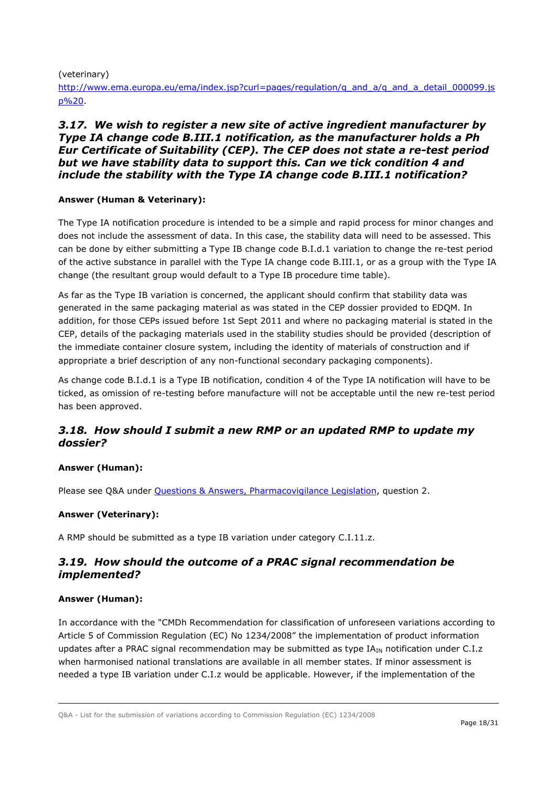(veterinary)

http://www.ema.europa.eu/ema/index.jsp?curl=pages/regulation/g\_and\_a/g\_and\_a\_detail\_000099.js [p%20.](http://www.ema.europa.eu/ema/index.jsp?curl=pages/regulation/q_and_a/q_and_a_detail_000099.jsp%20)

### <span id="page-17-0"></span>*3.17. We wish to register a new site of active ingredient manufacturer by Type IA change code B.III.1 notification, as the manufacturer holds a Ph Eur Certificate of Suitability (CEP). The CEP does not state a re-test period but we have stability data to support this. Can we tick condition 4 and include the stability with the Type IA change code B.III.1 notification?*

### **Answer (Human & Veterinary):**

The Type IA notification procedure is intended to be a simple and rapid process for minor changes and does not include the assessment of data. In this case, the stability data will need to be assessed. This can be done by either submitting a Type IB change code B.I.d.1 variation to change the re-test period of the active substance in parallel with the Type IA change code B.III.1, or as a group with the Type IA change (the resultant group would default to a Type IB procedure time table).

As far as the Type IB variation is concerned, the applicant should confirm that stability data was generated in the same packaging material as was stated in the CEP dossier provided to EDQM. In addition, for those CEPs issued before 1st Sept 2011 and where no packaging material is stated in the CEP, details of the packaging materials used in the stability studies should be provided (description of the immediate container closure system, including the identity of materials of construction and if appropriate a brief description of any non-functional secondary packaging components).

As change code B.I.d.1 is a Type IB notification, condition 4 of the Type IA notification will have to be ticked, as omission of re-testing before manufacture will not be acceptable until the new re-test period has been approved.

## <span id="page-17-1"></span>*3.18. How should I submit a new RMP or an updated RMP to update my dossier?*

#### **Answer (Human):**

Please see Q&A under [Questions & Answers, Pharmacovigilance Legislation,](http://www.hma.eu/20.html) question 2.

#### **Answer (Veterinary):**

A RMP should be submitted as a type IB variation under category C.I.11.z.

## <span id="page-17-2"></span>*3.19. How should the outcome of a PRAC signal recommendation be implemented?*

#### **Answer (Human):**

In accordance with the "CMDh Recommendation for classification of unforeseen variations according to Article 5 of Commission Regulation (EC) No 1234/2008" the implementation of product information updates after a PRAC signal recommendation may be submitted as type IA<sub>IN</sub> notification under C.I.z when harmonised national translations are available in all member states. If minor assessment is needed a type IB variation under C.I.z would be applicable. However, if the implementation of the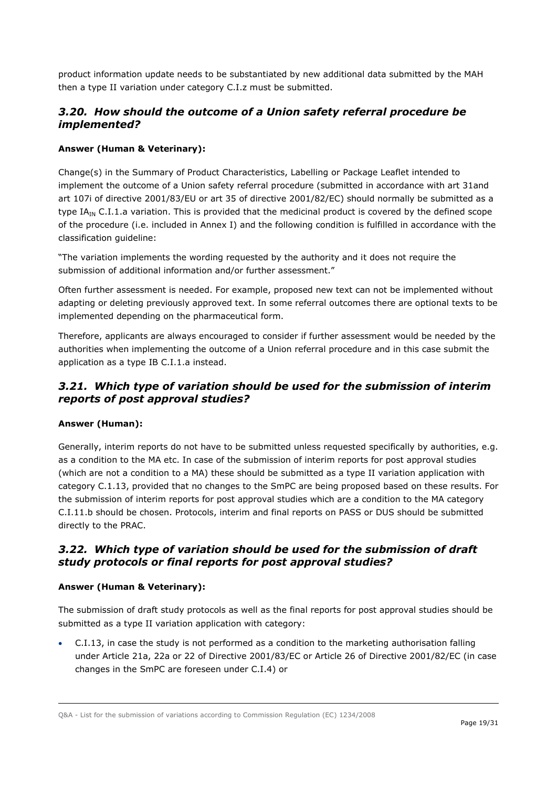product information update needs to be substantiated by new additional data submitted by the MAH then a type II variation under category C.I.z must be submitted.

## <span id="page-18-0"></span>*3.20. How should the outcome of a Union safety referral procedure be implemented?*

### **Answer (Human & Veterinary):**

Change(s) in the Summary of Product Characteristics, Labelling or Package Leaflet intended to implement the outcome of a Union safety referral procedure (submitted in accordance with art 31and art 107i of directive 2001/83/EU or art 35 of directive 2001/82/EC) should normally be submitted as a type  $IA_{IN}$  C.I.1.a variation. This is provided that the medicinal product is covered by the defined scope of the procedure (i.e. included in Annex I) and the following condition is fulfilled in accordance with the classification guideline:

"The variation implements the wording requested by the authority and it does not require the submission of additional information and/or further assessment."

Often further assessment is needed. For example, proposed new text can not be implemented without adapting or deleting previously approved text. In some referral outcomes there are optional texts to be implemented depending on the pharmaceutical form.

Therefore, applicants are always encouraged to consider if further assessment would be needed by the authorities when implementing the outcome of a Union referral procedure and in this case submit the application as a type IB C.I.1.a instead.

## <span id="page-18-1"></span>*3.21. Which type of variation should be used for the submission of interim reports of post approval studies?*

#### **Answer (Human):**

Generally, interim reports do not have to be submitted unless requested specifically by authorities, e.g. as a condition to the MA etc. In case of the submission of interim reports for post approval studies (which are not a condition to a MA) these should be submitted as a type II variation application with category C.1.13, provided that no changes to the SmPC are being proposed based on these results. For the submission of interim reports for post approval studies which are a condition to the MA category C.I.11.b should be chosen. Protocols, interim and final reports on PASS or DUS should be submitted directly to the PRAC.

## <span id="page-18-2"></span>*3.22. Which type of variation should be used for the submission of draft study protocols or final reports for post approval studies?*

#### **Answer (Human & Veterinary):**

The submission of draft study protocols as well as the final reports for post approval studies should be submitted as a type II variation application with category:

 C.I.13, in case the study is not performed as a condition to the marketing authorisation falling under Article 21a, 22a or 22 of Directive 2001/83/EC or Article 26 of Directive 2001/82/EC (in case changes in the SmPC are foreseen under C.I.4) or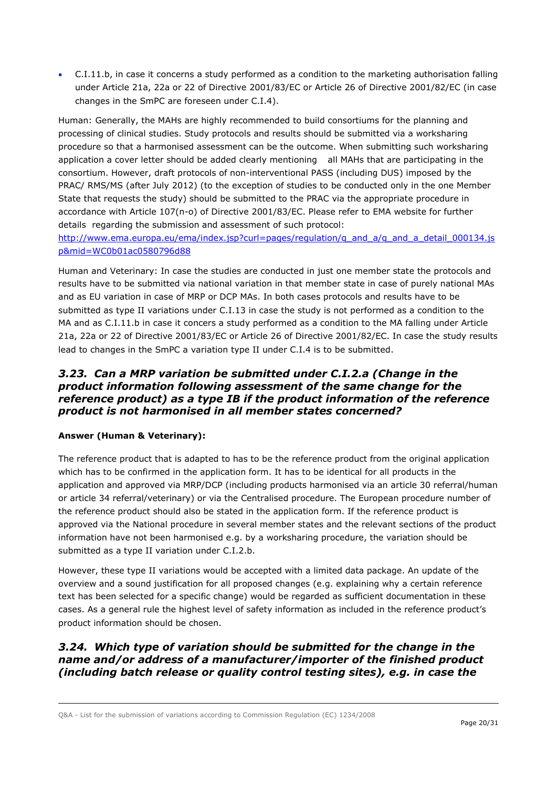C.I.11.b, in case it concerns a study performed as a condition to the marketing authorisation falling under Article 21a, 22a or 22 of Directive 2001/83/EC or Article 26 of Directive 2001/82/EC (in case changes in the SmPC are foreseen under C.I.4).

Human: Generally, the MAHs are highly recommended to build consortiums for the planning and processing of clinical studies. Study protocols and results should be submitted via a worksharing procedure so that a harmonised assessment can be the outcome. When submitting such worksharing application a cover letter should be added clearly mentioning all MAHs that are participating in the consortium. However, draft protocols of non-interventional PASS (including DUS) imposed by the PRAC/ RMS/MS (after July 2012) (to the exception of studies to be conducted only in the one Member State that requests the study) should be submitted to the PRAC via the appropriate procedure in accordance with Article 107(n-o) of Directive 2001/83/EC. Please refer to EMA website for further details regarding the submission and assessment of such protocol:

http://www.ema.europa.eu/ema/index.jsp?curl=pages/regulation/g\_and\_a/q\_and\_a\_detail\_000134.js [p&mid=WC0b01ac0580796d88](http://www.ema.europa.eu/ema/index.jsp?curl=pages/regulation/q_and_a/q_and_a_detail_000134.jsp&mid=WC0b01ac0580796d88)

Human and Veterinary: In case the studies are conducted in just one member state the protocols and results have to be submitted via national variation in that member state in case of purely national MAs and as EU variation in case of MRP or DCP MAs. In both cases protocols and results have to be submitted as type II variations under C.I.13 in case the study is not performed as a condition to the MA and as C.I.11.b in case it concers a study performed as a condition to the MA falling under Article 21a, 22a or 22 of Directive 2001/83/EC or Article 26 of Directive 2001/82/EC. In case the study results lead to changes in the SmPC a variation type II under C.I.4 is to be submitted.

### <span id="page-19-0"></span>*3.23. Can a MRP variation be submitted under C.I.2.a (Change in the product information following assessment of the same change for the reference product) as a type IB if the product information of the reference product is not harmonised in all member states concerned?*

#### **Answer (Human & Veterinary):**

The reference product that is adapted to has to be the reference product from the original application which has to be confirmed in the application form. It has to be identical for all products in the application and approved via MRP/DCP (including products harmonised via an article 30 referral/human or article 34 referral/veterinary) or via the Centralised procedure. The European procedure number of the reference product should also be stated in the application form. If the reference product is approved via the National procedure in several member states and the relevant sections of the product information have not been harmonised e.g. by a worksharing procedure, the variation should be submitted as a type II variation under C.I.2.b.

However, these type II variations would be accepted with a limited data package. An update of the overview and a sound justification for all proposed changes (e.g. explaining why a certain reference text has been selected for a specific change) would be regarded as sufficient documentation in these cases. As a general rule the highest level of safety information as included in the reference product's product information should be chosen.

## <span id="page-19-1"></span>*3.24. Which type of variation should be submitted for the change in the name and/or address of a manufacturer/importer of the finished product (including batch release or quality control testing sites), e.g. in case the*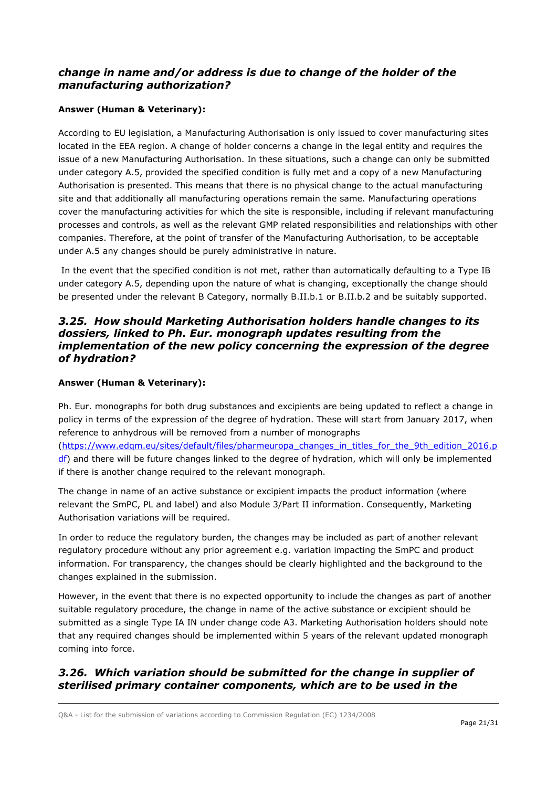## *change in name and/or address is due to change of the holder of the manufacturing authorization?*

### **Answer (Human & Veterinary):**

According to EU legislation, a Manufacturing Authorisation is only issued to cover manufacturing sites located in the EEA region. A change of holder concerns a change in the legal entity and requires the issue of a new Manufacturing Authorisation. In these situations, such a change can only be submitted under category A.5, provided the specified condition is fully met and a copy of a new Manufacturing Authorisation is presented. This means that there is no physical change to the actual manufacturing site and that additionally all manufacturing operations remain the same. Manufacturing operations cover the manufacturing activities for which the site is responsible, including if relevant manufacturing processes and controls, as well as the relevant GMP related responsibilities and relationships with other companies. Therefore, at the point of transfer of the Manufacturing Authorisation, to be acceptable under A.5 any changes should be purely administrative in nature.

In the event that the specified condition is not met, rather than automatically defaulting to a Type IB under category A.5, depending upon the nature of what is changing, exceptionally the change should be presented under the relevant B Category, normally B.II.b.1 or B.II.b.2 and be suitably supported.

### <span id="page-20-0"></span>*3.25. How should Marketing Authorisation holders handle changes to its dossiers, linked to Ph. Eur. monograph updates resulting from the implementation of the new policy concerning the expression of the degree of hydration?*

### **Answer (Human & Veterinary):**

Ph. Eur. monographs for both drug substances and excipients are being updated to reflect a change in policy in terms of the expression of the degree of hydration. These will start from January 2017, when reference to anhydrous will be removed from a number of monographs [\(https://www.edqm.eu/sites/default/files/pharmeuropa\\_changes\\_in\\_titles\\_for\\_the\\_9th\\_edition\\_2016.p](https://www.edqm.eu/sites/default/files/pharmeuropa_changes_in_titles_for_the_9th_edition_2016.pdf) [df\)](https://www.edqm.eu/sites/default/files/pharmeuropa_changes_in_titles_for_the_9th_edition_2016.pdf) and there will be future changes linked to the degree of hydration, which will only be implemented if there is another change required to the relevant monograph.

The change in name of an active substance or excipient impacts the product information (where relevant the SmPC, PL and label) and also Module 3/Part II information. Consequently, Marketing Authorisation variations will be required.

In order to reduce the regulatory burden, the changes may be included as part of another relevant regulatory procedure without any prior agreement e.g. variation impacting the SmPC and product information. For transparency, the changes should be clearly highlighted and the background to the changes explained in the submission.

However, in the event that there is no expected opportunity to include the changes as part of another suitable regulatory procedure, the change in name of the active substance or excipient should be submitted as a single Type IA IN under change code A3. Marketing Authorisation holders should note that any required changes should be implemented within 5 years of the relevant updated monograph coming into force.

# <span id="page-20-1"></span>*3.26. Which variation should be submitted for the change in supplier of sterilised primary container components, which are to be used in the*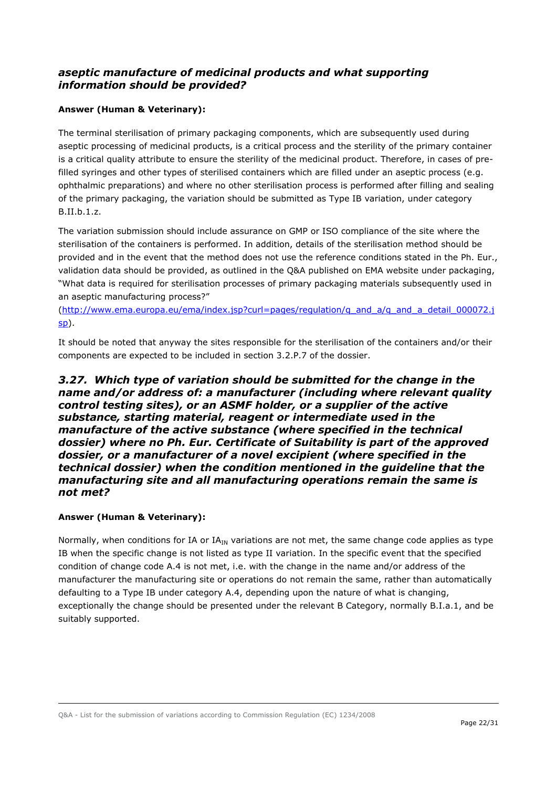## *aseptic manufacture of medicinal products and what supporting information should be provided?*

### **Answer (Human & Veterinary):**

The terminal sterilisation of primary packaging components, which are subsequently used during aseptic processing of medicinal products, is a critical process and the sterility of the primary container is a critical quality attribute to ensure the sterility of the medicinal product. Therefore, in cases of prefilled syringes and other types of sterilised containers which are filled under an aseptic process (e.g. ophthalmic preparations) and where no other sterilisation process is performed after filling and sealing of the primary packaging, the variation should be submitted as Type IB variation, under category B.II.b.1.z.

The variation submission should include assurance on GMP or ISO compliance of the site where the sterilisation of the containers is performed. In addition, details of the sterilisation method should be provided and in the event that the method does not use the reference conditions stated in the Ph. Eur., validation data should be provided, as outlined in the Q&A published on EMA website under packaging, "What data is required for sterilisation processes of primary packaging materials subsequently used in an aseptic manufacturing process?"

[\(http://www.ema.europa.eu/ema/index.jsp?curl=pages/regulation/q\\_and\\_a/q\\_and\\_a\\_detail\\_000072.j](http://www.ema.europa.eu/ema/index.jsp?curl=pages/regulation/q_and_a/q_and_a_detail_000072.jsp) [sp\)](http://www.ema.europa.eu/ema/index.jsp?curl=pages/regulation/q_and_a/q_and_a_detail_000072.jsp).

It should be noted that anyway the sites responsible for the sterilisation of the containers and/or their components are expected to be included in section 3.2.P.7 of the dossier.

### <span id="page-21-0"></span>*3.27. Which type of variation should be submitted for the change in the name and/or address of: a manufacturer (including where relevant quality control testing sites), or an ASMF holder, or a supplier of the active substance, starting material, reagent or intermediate used in the manufacture of the active substance (where specified in the technical dossier) where no Ph. Eur. Certificate of Suitability is part of the approved dossier, or a manufacturer of a novel excipient (where specified in the technical dossier) when the condition mentioned in the guideline that the manufacturing site and all manufacturing operations remain the same is not met?*

#### **Answer (Human & Veterinary):**

Normally, when conditions for IA or  $IA_{IN}$  variations are not met, the same change code applies as type IB when the specific change is not listed as type II variation. In the specific event that the specified condition of change code A.4 is not met, i.e. with the change in the name and/or address of the manufacturer the manufacturing site or operations do not remain the same, rather than automatically defaulting to a Type IB under category A.4, depending upon the nature of what is changing, exceptionally the change should be presented under the relevant B Category, normally B.I.a.1, and be suitably supported.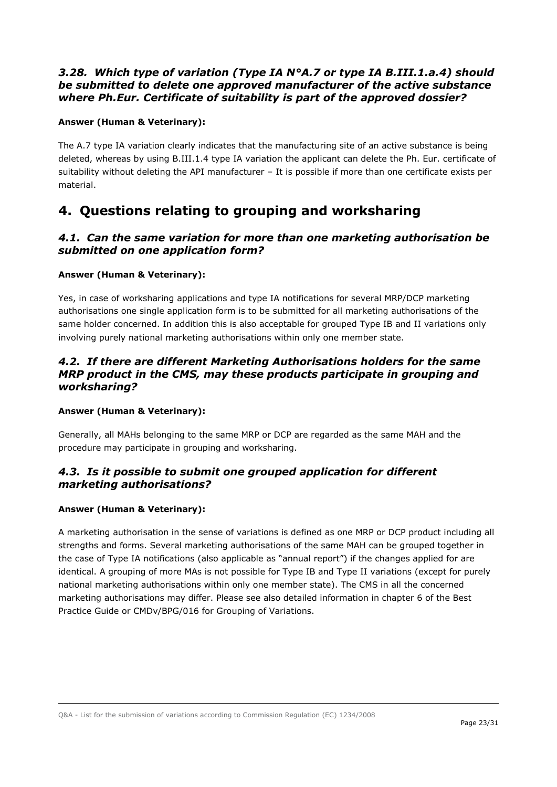### <span id="page-22-0"></span>*3.28. Which type of variation (Type IA N°A.7 or type IA B.III.1.a.4) should be submitted to delete one approved manufacturer of the active substance where Ph.Eur. Certificate of suitability is part of the approved dossier?*

### **Answer (Human & Veterinary):**

The A.7 type IA variation clearly indicates that the manufacturing site of an active substance is being deleted, whereas by using B.III.1.4 type IA variation the applicant can delete the Ph. Eur. certificate of suitability without deleting the API manufacturer – It is possible if more than one certificate exists per material.

# <span id="page-22-1"></span>**4. Questions relating to grouping and worksharing**

## <span id="page-22-2"></span>*4.1. Can the same variation for more than one marketing authorisation be submitted on one application form?*

#### **Answer (Human & Veterinary):**

Yes, in case of worksharing applications and type IA notifications for several MRP/DCP marketing authorisations one single application form is to be submitted for all marketing authorisations of the same holder concerned. In addition this is also acceptable for grouped Type IB and II variations only involving purely national marketing authorisations within only one member state.

### <span id="page-22-3"></span>*4.2. If there are different Marketing Authorisations holders for the same MRP product in the CMS, may these products participate in grouping and worksharing?*

#### **Answer (Human & Veterinary):**

Generally, all MAHs belonging to the same MRP or DCP are regarded as the same MAH and the procedure may participate in grouping and worksharing.

## <span id="page-22-4"></span>*4.3. Is it possible to submit one grouped application for different marketing authorisations?*

#### **Answer (Human & Veterinary):**

A marketing authorisation in the sense of variations is defined as one MRP or DCP product including all strengths and forms. Several marketing authorisations of the same MAH can be grouped together in the case of Type IA notifications (also applicable as "annual report") if the changes applied for are identical. A grouping of more MAs is not possible for Type IB and Type II variations (except for purely national marketing authorisations within only one member state). The CMS in all the concerned marketing authorisations may differ. Please see also detailed information in chapter 6 of the Best Practice Guide or CMDv/BPG/016 for Grouping of Variations.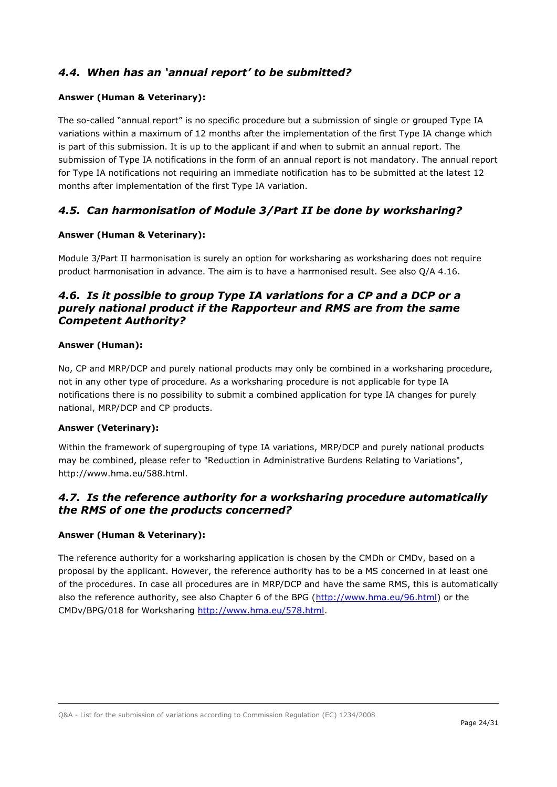# <span id="page-23-0"></span>*4.4. When has an 'annual report' to be submitted?*

#### **Answer (Human & Veterinary):**

The so-called "annual report" is no specific procedure but a submission of single or grouped Type IA variations within a maximum of 12 months after the implementation of the first Type IA change which is part of this submission. It is up to the applicant if and when to submit an annual report. The submission of Type IA notifications in the form of an annual report is not mandatory. The annual report for Type IA notifications not requiring an immediate notification has to be submitted at the latest 12 months after implementation of the first Type IA variation.

### <span id="page-23-1"></span>*4.5. Can harmonisation of Module 3/Part II be done by worksharing?*

#### **Answer (Human & Veterinary):**

Module 3/Part II harmonisation is surely an option for worksharing as worksharing does not require product harmonisation in advance. The aim is to have a harmonised result. See also Q/A 4.16.

## <span id="page-23-2"></span>*4.6. Is it possible to group Type IA variations for a CP and a DCP or a purely national product if the Rapporteur and RMS are from the same Competent Authority?*

#### **Answer (Human):**

No, CP and MRP/DCP and purely national products may only be combined in a worksharing procedure, not in any other type of procedure. As a worksharing procedure is not applicable for type IA notifications there is no possibility to submit a combined application for type IA changes for purely national, MRP/DCP and CP products.

#### **Answer (Veterinary):**

Within the framework of supergrouping of type IA variations, MRP/DCP and purely national products may be combined, please refer to "Reduction in Administrative Burdens Relating to Variations", http://www.hma.eu/588.html.

## <span id="page-23-3"></span>*4.7. Is the reference authority for a worksharing procedure automatically the RMS of one the products concerned?*

#### **Answer (Human & Veterinary):**

The reference authority for a worksharing application is chosen by the CMDh or CMDv, based on a proposal by the applicant. However, the reference authority has to be a MS concerned in at least one of the procedures. In case all procedures are in MRP/DCP and have the same RMS, this is automatically also the reference authority, see also Chapter 6 of the BPG [\(http://www.hma.eu/96.html\)](http://www.hma.eu/96.html) or the CMDv/BPG/018 for Worksharing [http://www.hma.eu/578.html.](http://www.hma.eu/578.html)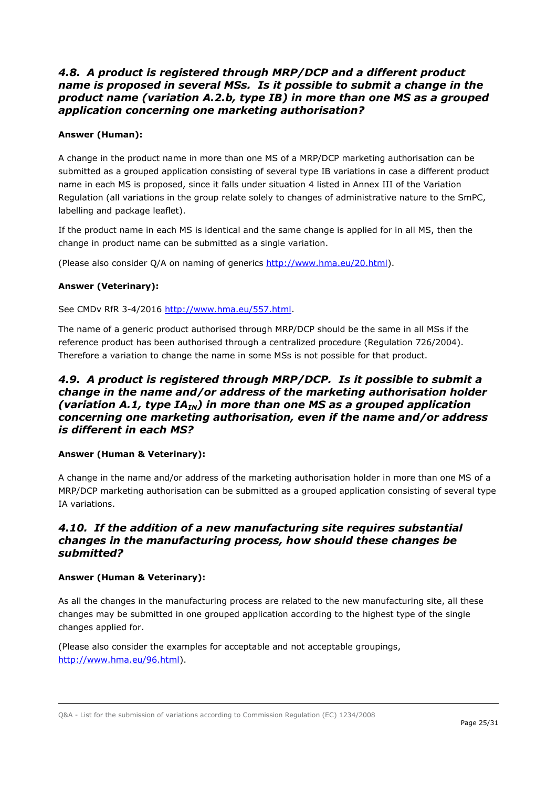### <span id="page-24-0"></span>*4.8. A product is registered through MRP/DCP and a different product name is proposed in several MSs. Is it possible to submit a change in the product name (variation A.2.b, type IB) in more than one MS as a grouped application concerning one marketing authorisation?*

### **Answer (Human):**

A change in the product name in more than one MS of a MRP/DCP marketing authorisation can be submitted as a grouped application consisting of several type IB variations in case a different product name in each MS is proposed, since it falls under situation 4 listed in Annex III of the Variation Regulation (all variations in the group relate solely to changes of administrative nature to the SmPC, labelling and package leaflet).

If the product name in each MS is identical and the same change is applied for in all MS, then the change in product name can be submitted as a single variation.

(Please also consider Q/A on naming of generics [http://www.hma.eu/20.html\)](http://www.hma.eu/20.html).

### **Answer (Veterinary):**

See CMDv RfR 3-4/2016 [http://www.hma.eu/557.html.](http://www.hma.eu/557.html)

The name of a generic product authorised through MRP/DCP should be the same in all MSs if the reference product has been authorised through a centralized procedure (Regulation 726/2004). Therefore a variation to change the name in some MSs is not possible for that product.

### <span id="page-24-1"></span>*4.9. A product is registered through MRP/DCP. Is it possible to submit a change in the name and/or address of the marketing authorisation holder (variation A.1, type IA<sub>IN</sub>) in more than one MS as a grouped application concerning one marketing authorisation, even if the name and/or address is different in each MS?*

#### **Answer (Human & Veterinary):**

A change in the name and/or address of the marketing authorisation holder in more than one MS of a MRP/DCP marketing authorisation can be submitted as a grouped application consisting of several type IA variations.

### <span id="page-24-2"></span>*4.10. If the addition of a new manufacturing site requires substantial changes in the manufacturing process, how should these changes be submitted?*

#### **Answer (Human & Veterinary):**

As all the changes in the manufacturing process are related to the new manufacturing site, all these changes may be submitted in one grouped application according to the highest type of the single changes applied for.

(Please also consider the examples for acceptable and not acceptable groupings, [http://www.hma.eu/96.html\)](http://www.hma.eu/96.html).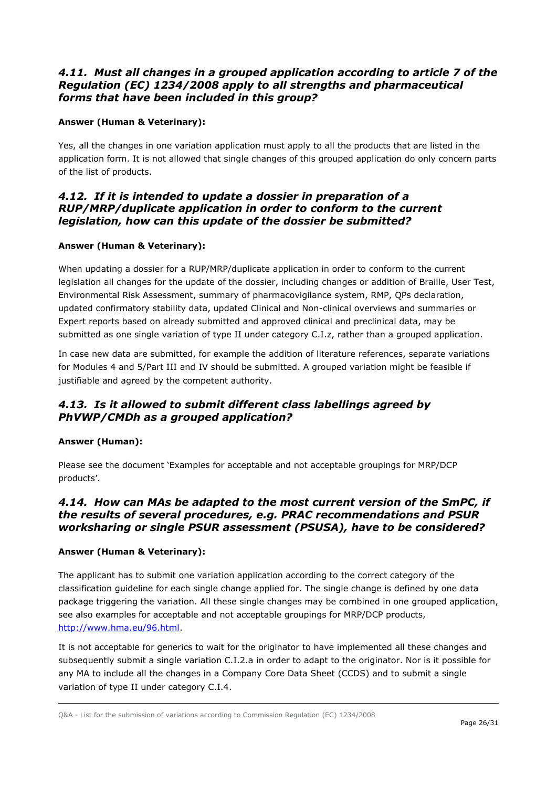## <span id="page-25-0"></span>*4.11. Must all changes in a grouped application according to article 7 of the Regulation (EC) 1234/2008 apply to all strengths and pharmaceutical forms that have been included in this group?*

### **Answer (Human & Veterinary):**

Yes, all the changes in one variation application must apply to all the products that are listed in the application form. It is not allowed that single changes of this grouped application do only concern parts of the list of products.

### <span id="page-25-1"></span>*4.12. If it is intended to update a dossier in preparation of a RUP/MRP/duplicate application in order to conform to the current legislation, how can this update of the dossier be submitted?*

### **Answer (Human & Veterinary):**

When updating a dossier for a RUP/MRP/duplicate application in order to conform to the current legislation all changes for the update of the dossier, including changes or addition of Braille, User Test, Environmental Risk Assessment, summary of pharmacovigilance system, RMP, QPs declaration, updated confirmatory stability data, updated Clinical and Non-clinical overviews and summaries or Expert reports based on already submitted and approved clinical and preclinical data, may be submitted as one single variation of type II under category C.I.z, rather than a grouped application.

In case new data are submitted, for example the addition of literature references, separate variations for Modules 4 and 5/Part III and IV should be submitted. A grouped variation might be feasible if justifiable and agreed by the competent authority.

# <span id="page-25-2"></span>*4.13. Is it allowed to submit different class labellings agreed by PhVWP/CMDh as a grouped application?*

#### **Answer (Human):**

Please see the document 'Examples for acceptable and not acceptable groupings for MRP/DCP products'.

### <span id="page-25-3"></span>*4.14. How can MAs be adapted to the most current version of the SmPC, if the results of several procedures, e.g. PRAC recommendations and PSUR worksharing or single PSUR assessment (PSUSA), have to be considered?*

#### **Answer (Human & Veterinary):**

The applicant has to submit one variation application according to the correct category of the classification guideline for each single change applied for. The single change is defined by one data package triggering the variation. All these single changes may be combined in one grouped application, see also examples for acceptable and not acceptable groupings for MRP/DCP products, [http://www.hma.eu/96.html.](http://www.hma.eu/96.html)

It is not acceptable for generics to wait for the originator to have implemented all these changes and subsequently submit a single variation C.I.2.a in order to adapt to the originator. Nor is it possible for any MA to include all the changes in a Company Core Data Sheet (CCDS) and to submit a single variation of type II under category C.I.4.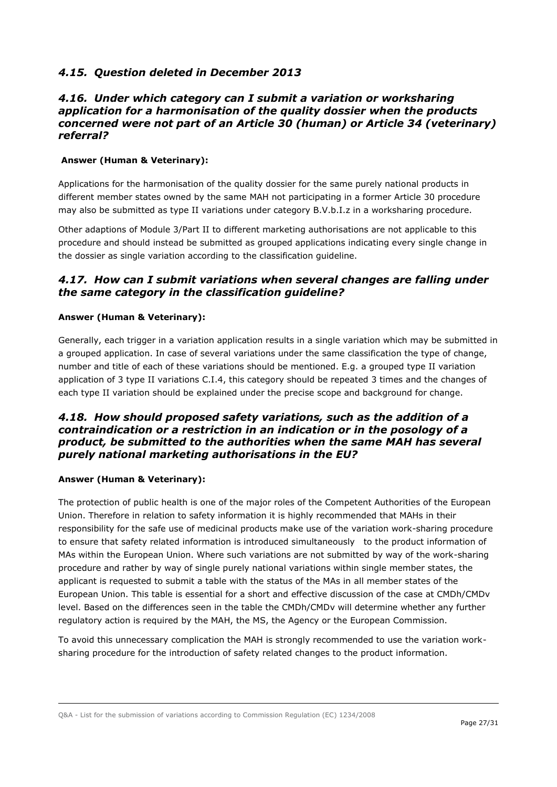# <span id="page-26-0"></span>*4.15. Question deleted in December 2013*

### <span id="page-26-1"></span>*4.16. Under which category can I submit a variation or worksharing application for a harmonisation of the quality dossier when the products concerned were not part of an Article 30 (human) or Article 34 (veterinary) referral?*

#### **Answer (Human & Veterinary):**

Applications for the harmonisation of the quality dossier for the same purely national products in different member states owned by the same MAH not participating in a former Article 30 procedure may also be submitted as type II variations under category B.V.b.I.z in a worksharing procedure.

Other adaptions of Module 3/Part II to different marketing authorisations are not applicable to this procedure and should instead be submitted as grouped applications indicating every single change in the dossier as single variation according to the classification guideline.

### <span id="page-26-2"></span>*4.17. How can I submit variations when several changes are falling under the same category in the classification guideline?*

#### **Answer (Human & Veterinary):**

Generally, each trigger in a variation application results in a single variation which may be submitted in a grouped application. In case of several variations under the same classification the type of change, number and title of each of these variations should be mentioned. E.g. a grouped type II variation application of 3 type II variations C.I.4, this category should be repeated 3 times and the changes of each type II variation should be explained under the precise scope and background for change.

### <span id="page-26-3"></span>*4.18. How should proposed safety variations, such as the addition of a contraindication or a restriction in an indication or in the posology of a product, be submitted to the authorities when the same MAH has several purely national marketing authorisations in the EU?*

#### **Answer (Human & Veterinary):**

The protection of public health is one of the major roles of the Competent Authorities of the European Union. Therefore in relation to safety information it is highly recommended that MAHs in their responsibility for the safe use of medicinal products make use of the variation work-sharing procedure to ensure that safety related information is introduced simultaneously to the product information of MAs within the European Union. Where such variations are not submitted by way of the work-sharing procedure and rather by way of single purely national variations within single member states, the applicant is requested to submit a table with the status of the MAs in all member states of the European Union. This table is essential for a short and effective discussion of the case at CMDh/CMDv level. Based on the differences seen in the table the CMDh/CMDv will determine whether any further regulatory action is required by the MAH, the MS, the Agency or the European Commission.

To avoid this unnecessary complication the MAH is strongly recommended to use the variation worksharing procedure for the introduction of safety related changes to the product information.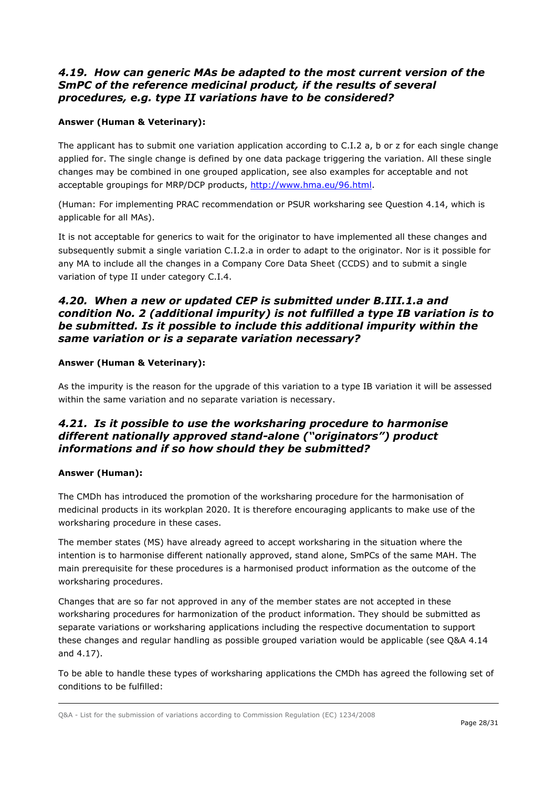### <span id="page-27-0"></span>*4.19. How can generic MAs be adapted to the most current version of the SmPC of the reference medicinal product, if the results of several procedures, e.g. type II variations have to be considered?*

### **Answer (Human & Veterinary):**

The applicant has to submit one variation application according to C.I.2 a, b or z for each single change applied for. The single change is defined by one data package triggering the variation. All these single changes may be combined in one grouped application, see also examples for acceptable and not acceptable groupings for MRP/DCP products, [http://www.hma.eu/96.html.](http://www.hma.eu/96.html)

(Human: For implementing PRAC recommendation or PSUR worksharing see Question 4.14, which is applicable for all MAs).

It is not acceptable for generics to wait for the originator to have implemented all these changes and subsequently submit a single variation C.I.2.a in order to adapt to the originator. Nor is it possible for any MA to include all the changes in a Company Core Data Sheet (CCDS) and to submit a single variation of type II under category C.I.4.

### <span id="page-27-1"></span>*4.20. When a new or updated CEP is submitted under B.III.1.a and condition No. 2 (additional impurity) is not fulfilled a type IB variation is to be submitted. Is it possible to include this additional impurity within the same variation or is a separate variation necessary?*

#### **Answer (Human & Veterinary):**

As the impurity is the reason for the upgrade of this variation to a type IB variation it will be assessed within the same variation and no separate variation is necessary.

## <span id="page-27-2"></span>*4.21. Is it possible to use the worksharing procedure to harmonise different nationally approved stand-alone ("originators") product informations and if so how should they be submitted?*

#### **Answer (Human):**

The CMDh has introduced the promotion of the worksharing procedure for the harmonisation of medicinal products in its workplan 2020. It is therefore encouraging applicants to make use of the worksharing procedure in these cases.

The member states (MS) have already agreed to accept worksharing in the situation where the intention is to harmonise different nationally approved, stand alone, SmPCs of the same MAH. The main prerequisite for these procedures is a harmonised product information as the outcome of the worksharing procedures.

Changes that are so far not approved in any of the member states are not accepted in these worksharing procedures for harmonization of the product information. They should be submitted as separate variations or worksharing applications including the respective documentation to support these changes and regular handling as possible grouped variation would be applicable (see Q&A 4.14 and 4.17).

To be able to handle these types of worksharing applications the CMDh has agreed the following set of conditions to be fulfilled: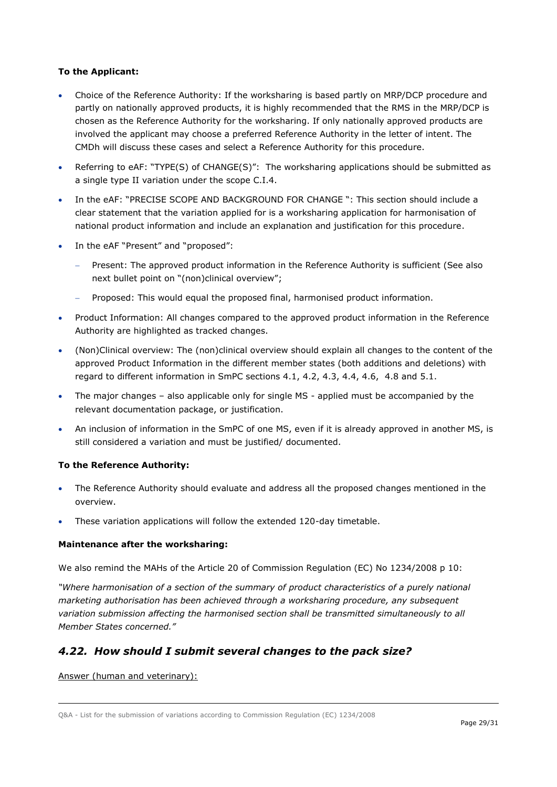#### **To the Applicant:**

- Choice of the Reference Authority: If the worksharing is based partly on MRP/DCP procedure and partly on nationally approved products, it is highly recommended that the RMS in the MRP/DCP is chosen as the Reference Authority for the worksharing. If only nationally approved products are involved the applicant may choose a preferred Reference Authority in the letter of intent. The CMDh will discuss these cases and select a Reference Authority for this procedure.
- Referring to eAF: "TYPE(S) of CHANGE(S)": The worksharing applications should be submitted as a single type II variation under the scope C.I.4.
- In the eAF: "PRECISE SCOPE AND BACKGROUND FOR CHANGE ": This section should include a clear statement that the variation applied for is a worksharing application for harmonisation of national product information and include an explanation and justification for this procedure.
- In the eAF "Present" and "proposed":
	- Present: The approved product information in the Reference Authority is sufficient (See also next bullet point on "(non)clinical overview";
	- Proposed: This would equal the proposed final, harmonised product information.
- Product Information: All changes compared to the approved product information in the Reference Authority are highlighted as tracked changes.
- (Non)Clinical overview: The (non)clinical overview should explain all changes to the content of the approved Product Information in the different member states (both additions and deletions) with regard to different information in SmPC sections 4.1, 4.2, 4.3, 4.4, 4.6, 4.8 and 5.1.
- The major changes also applicable only for single MS applied must be accompanied by the relevant documentation package, or justification.
- An inclusion of information in the SmPC of one MS, even if it is already approved in another MS, is still considered a variation and must be justified/ documented.

#### **To the Reference Authority:**

- The Reference Authority should evaluate and address all the proposed changes mentioned in the overview.
- These variation applications will follow the extended 120-day timetable.

#### **Maintenance after the worksharing:**

We also remind the MAHs of the Article 20 of Commission Regulation (EC) No 1234/2008 p 10:

*"Where harmonisation of a section of the summary of product characteristics of a purely national marketing authorisation has been achieved through a worksharing procedure, any subsequent variation submission affecting the harmonised section shall be transmitted simultaneously to all Member States concerned."*

### <span id="page-28-0"></span>*4.22. How should I submit several changes to the pack size?*

Answer (human and veterinary):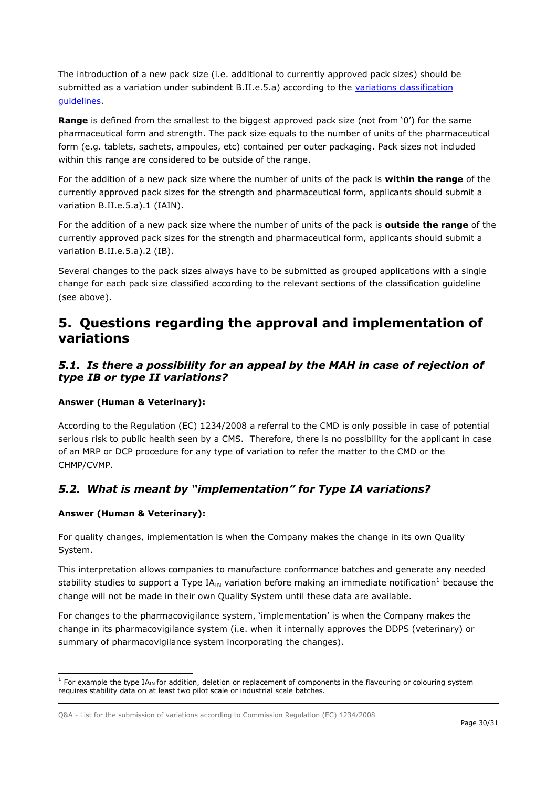The introduction of a new pack size (i.e. additional to currently approved pack sizes) should be submitted as a variation under subindent B.II.e.5.a) according to the variations classification [guidelines.](http://ec.europa.eu/health/sites/health/files/files/betterreg/pharmacos/classification_guideline_adopted.pdf)

**Range** is defined from the smallest to the biggest approved pack size (not from '0') for the same pharmaceutical form and strength. The pack size equals to the number of units of the pharmaceutical form (e.g. tablets, sachets, ampoules, etc) contained per outer packaging. Pack sizes not included within this range are considered to be outside of the range.

For the addition of a new pack size where the number of units of the pack is **within the range** of the currently approved pack sizes for the strength and pharmaceutical form, applicants should submit a variation B.II.e.5.a).1 (IAIN).

For the addition of a new pack size where the number of units of the pack is **outside the range** of the currently approved pack sizes for the strength and pharmaceutical form, applicants should submit a variation B.II.e.5.a).2 (IB).

Several changes to the pack sizes always have to be submitted as grouped applications with a single change for each pack size classified according to the relevant sections of the classification guideline (see above).

# <span id="page-29-0"></span>**5. Questions regarding the approval and implementation of variations**

### <span id="page-29-1"></span>*5.1. Is there a possibility for an appeal by the MAH in case of rejection of type IB or type II variations?*

#### **Answer (Human & Veterinary):**

According to the Regulation (EC) 1234/2008 a referral to the CMD is only possible in case of potential serious risk to public health seen by a CMS. Therefore, there is no possibility for the applicant in case of an MRP or DCP procedure for any type of variation to refer the matter to the CMD or the CHMP/CVMP.

# <span id="page-29-2"></span>*5.2. What is meant by "implementation" for Type IA variations?*

#### **Answer (Human & Veterinary):**

For quality changes, implementation is when the Company makes the change in its own Quality System.

This interpretation allows companies to manufacture conformance batches and generate any needed stability studies to support a Type IA<sub>IN</sub> variation before making an immediate notification<sup>1</sup> because the change will not be made in their own Quality System until these data are available.

For changes to the pharmacovigilance system, 'implementation' is when the Company makes the change in its pharmacovigilance system (i.e. when it internally approves the DDPS (veterinary) or summary of pharmacovigilance system incorporating the changes).

ł  $1$  For example the type IA<sub>IN</sub> for addition, deletion or replacement of components in the flavouring or colouring system requires stability data on at least two pilot scale or industrial scale batches.

Q&A - List for the submission of variations according to Commission Regulation (EC) 1234/2008